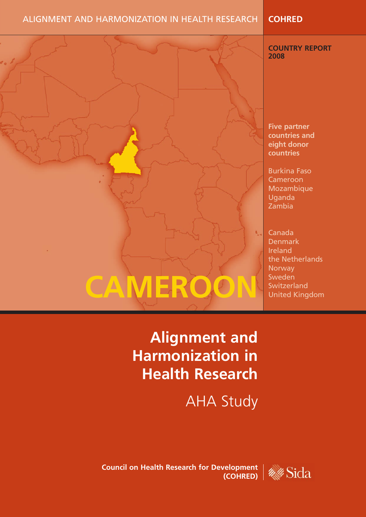### ALIGNMENT AND HARMONIZATION IN HEALTH RESEARCH **COHRED**

#### **COUNTRY REPORT 2008**

**Five partner countries and eight donor countries**

Burkina Faso Cameroon Mozambique Uganda Zambia

Canada Denmark Ireland the Netherlands **Norway** Sweden Switzerland United Kingdom

## **Alignment and Harmonization in Health Research**

**CAMEROON**

AHA Study

**Council on Health Research for Development (COHRED)** 

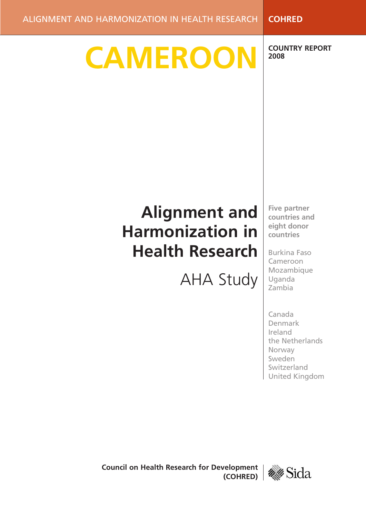**CAMEROON**

**COUNTRY REPORT 2008**

# **Alignment and Harmonization in Health Research**

AHA Study

**Five partner countries and eight donor countries**

Burkina Faso Cameroon Mozambique Uganda Zambia

Canada Denmark Ireland the Netherlands Norway Sweden Switzerland United Kingdom

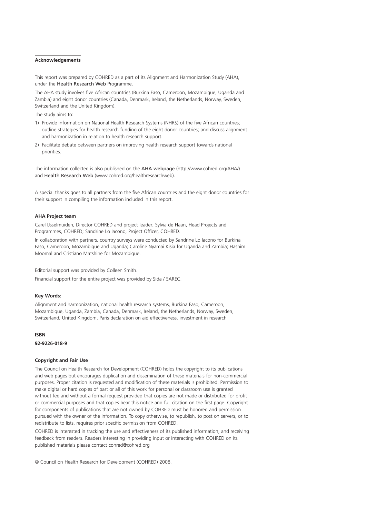#### **Acknowledgements**

This report was prepared by COHRED as a part of its Alignment and Harmonization Study (AHA), under the Health Research Web Programme.

The AHA study involves five African countries (Burkina Faso, Cameroon, Mozambique, Uganda and Zambia) and eight donor countries (Canada, Denmark, Ireland, the Netherlands, Norway, Sweden, Switzerland and the United Kingdom).

The study aims to:

- 1) Provide information on National Health Research Systems (NHRS) of the five African countries; outline strategies for health research funding of the eight donor countries; and discuss alignment and harmonization in relation to health research support.
- 2) Facilitate debate between partners on improving health research support towards national priorities.

The information collected is also published on the AHA webpage (http://www.cohred.org/AHA/) and Health Research Web (www.cohred.org/healthresearchweb).

A special thanks goes to all partners from the five African countries and the eight donor countries for their support in compiling the information included in this report.

#### **AHA Project team**

Carel IJsselmuiden, Director COHRED and project leader; Sylvia de Haan, Head Projects and Programmes, COHRED; Sandrine Lo Iacono, Project Officer, COHRED.

In collaboration with partners, country surveys were conducted by Sandrine Lo Iacono for Burkina Faso, Cameroon, Mozambique and Uganda; Caroline Nyamai Kisia for Uganda and Zambia; Hashim Moomal and Cristiano Matshine for Mozambique.

Editorial support was provided by Colleen Smith.

Financial support for the entire project was provided by Sida / SAREC.

#### **Key Words:**

Alignment and harmonization, national health research systems, Burkina Faso, Cameroon, Mozambique, Uganda, Zambia, Canada, Denmark, Ireland, the Netherlands, Norway, Sweden, Switzerland, United Kingdom, Paris declaration on aid effectiveness, investment in research

#### **ISBN**

**92-9226-018-9**

#### **Copyright and Fair Use**

The Council on Health Research for Development (COHRED) holds the copyright to its publications and web pages but encourages duplication and dissemination of these materials for non-commercial purposes. Proper citation is requested and modification of these materials is prohibited. Permission to make digital or hard copies of part or all of this work for personal or classroom use is granted without fee and without a formal request provided that copies are not made or distributed for profit or commercial purposes and that copies bear this notice and full citation on the first page. Copyright for components of publications that are not owned by COHRED must be honored and permission pursued with the owner of the information. To copy otherwise, to republish, to post on servers, or to redistribute to lists, requires prior specific permission from COHRED.

COHRED is interested in tracking the use and effectiveness of its published information, and receiving feedback from readers. Readers interesting in providing input or interacting with COHRED on its published materials please contact cohred@cohred.org

© Council on Health Research for Development (COHRED) 2008.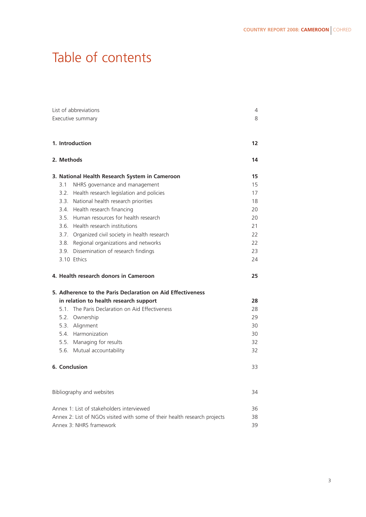## Table of contents

| List of abbreviations                                                           |            |                                                            | 4  |
|---------------------------------------------------------------------------------|------------|------------------------------------------------------------|----|
| Executive summary                                                               |            |                                                            | 8  |
|                                                                                 |            |                                                            |    |
|                                                                                 |            | 1. Introduction                                            | 12 |
|                                                                                 |            |                                                            |    |
|                                                                                 | 2. Methods |                                                            | 14 |
|                                                                                 |            | 3. National Health Research System in Cameroon             | 15 |
|                                                                                 | 3.1        | NHRS governance and management                             | 15 |
|                                                                                 |            | 3.2. Health research legislation and policies              | 17 |
|                                                                                 | 3.3.       | National health research priorities                        | 18 |
|                                                                                 |            | 3.4. Health research financing                             | 20 |
|                                                                                 |            | 3.5. Human resources for health research                   | 20 |
|                                                                                 |            | 3.6. Health research institutions                          | 21 |
|                                                                                 |            | 3.7. Organized civil society in health research            | 22 |
|                                                                                 |            | 3.8. Regional organizations and networks                   | 22 |
|                                                                                 |            | 3.9. Dissemination of research findings                    | 23 |
|                                                                                 |            | 3.10 Ethics                                                | 24 |
|                                                                                 |            | 4. Health research donors in Cameroon                      | 25 |
|                                                                                 |            | 5. Adherence to the Paris Declaration on Aid Effectiveness |    |
|                                                                                 |            | in relation to health research support                     | 28 |
|                                                                                 |            | 5.1. The Paris Declaration on Aid Effectiveness            | 28 |
|                                                                                 |            | 5.2. Ownership                                             | 29 |
|                                                                                 |            | 5.3. Alignment                                             | 30 |
|                                                                                 |            | 5.4. Harmonization                                         | 30 |
|                                                                                 |            | 5.5. Managing for results                                  | 32 |
|                                                                                 |            | 5.6. Mutual accountability                                 | 32 |
|                                                                                 |            | 6. Conclusion                                              | 33 |
|                                                                                 |            |                                                            |    |
|                                                                                 |            | Bibliography and websites                                  | 34 |
|                                                                                 |            | Annex 1: List of stakeholders interviewed                  | 36 |
| Annex 2: List of NGOs visited with some of their health research projects<br>38 |            |                                                            |    |
| Annex 3: NHRS framework<br>39                                                   |            |                                                            |    |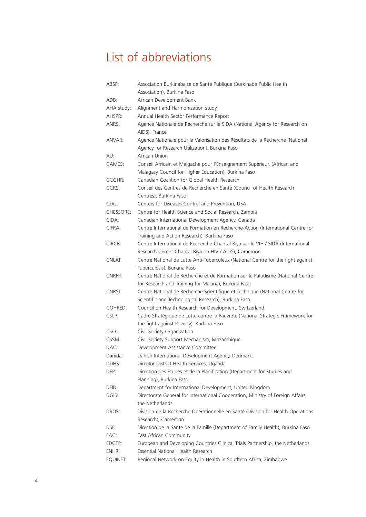### List of abbreviations

| ABSP:      | Association Burkinabaise de Santé Publique (Burkinabé Public Health              |
|------------|----------------------------------------------------------------------------------|
|            | Association), Burkina Faso                                                       |
| ADB:       | African Development Bank                                                         |
| AHA study: | Alignment and Harmonization study                                                |
| AHSPR:     | Annual Health Sector Performance Report                                          |
| ANRS:      | Agence Nationale de Recherche sur le SIDA (National Agency for Research on       |
|            | AIDS), France                                                                    |
| ANVAR:     | Agence Nationale pour la Valorisation des Résultats de la Recherche (National    |
|            | Agency for Research Utilization), Burkina Faso                                   |
| AU:        | African Union                                                                    |
| CAMES:     | Conseil Africain et Malgache pour l'Enseignement Supèrieur, (African and         |
|            | Malagasy Council for Higher Education), Burkina Faso                             |
| CCGHR:     | Canadian Coalition for Global Health Research                                    |
| CCRS:      | Conseil des Centres de Recherche en Santé (Council of Health Research            |
|            | Centres), Burkina Faso                                                           |
| CDC:       | Centers for Diseases Control and Prevention, USA                                 |
| CHESSORE:  | Centre for Health Science and Social Research, Zambia                            |
| CIDA:      | Canadian International Development Agency, Canada                                |
| CIFRA:     | Centre International de Formation en Recherche-Action (International Centre for  |
|            | Training and Action Research), Burkina Faso                                      |
| CIRCB:     | Centre International de Recherche Chantal Biya sur le VIH / SIDA (International  |
|            | Research Center Chantal Biya on HIV / AIDS), Cameroon                            |
| CNLAT:     | Centre National de Lutte Anti-Tuberculeux (National Centre for the fight against |
|            | Tuberculosis), Burkina Faso                                                      |
| CNRFP:     | Centre National de Recherche et de Formation sur le Paludisme (National Centre   |
|            | for Research and Training for Malaria), Burkina Faso                             |
| CNRST:     | Centre National de Recherche Scientifique et Technique (National Centre for      |
|            | Scientific and Technological Research), Burkina Faso                             |
| COHRED:    | Council on Health Research for Development, Switzerland                          |
| CSLP:      | Cadre Stratégique de Lutte contre la Pauvreté (National Strategic Framework for  |
|            | the fight against Poverty), Burkina Faso                                         |
| CSO:       | Civil Society Organization                                                       |
| CSSM:      | Civil Society Support Mechanism, Mozambique                                      |
| DAC:       | Development Assistance Committee                                                 |
| Danida:    | Danish International Development Agency, Denmark                                 |
| DDHS:      | Director District Health Services, Uganda                                        |
| DEP:       | Direction des Etudes et de la Planification (Department for Studies and          |
|            | Planning), Burkina Faso                                                          |
| DFID:      | Department for International Development, United Kingdom                         |
| DGIS:      | Directorate General for International Cooperation, Ministry of Foreign Affairs,  |
|            | the Netherlands                                                                  |
| DROS:      | Division de la Recherche Opérationnelle en Santé (Division for Health Operations |
|            | Research), Cameroon                                                              |
| DSF:       | Direction de la Santé de la Famille (Department of Family Health), Burkina Faso  |
| EAC:       | East African Community                                                           |
| EDCTP:     | European and Developing Countries Clinical Trials Partnership, the Netherlands   |
| ENHR:      | Essential National Health Research                                               |
| EQUINET:   | Regional Network on Equity in Health in Southern Africa, Zimbabwe                |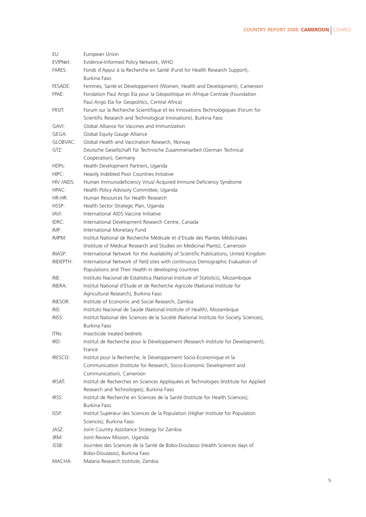| EU:                | European Union                                                                          |
|--------------------|-----------------------------------------------------------------------------------------|
| EVIPNet:           | Evidence-Informed Policy Network, WHO                                                   |
| <b>FARES:</b>      | Fonds d'Appui à la Recherche en Santé (Fund for Health Research Support),               |
|                    | Burkina Faso                                                                            |
| FESADE:            | Femmes, Santé et Développement (Women, Health and Development), Cameroon                |
| FPAE:              | Fondation Paul Ango Ela pour la Géopolitique en Afrique Centrale (Foundation            |
|                    | Paul Ango Ela for Geopolitics, Central Africa)                                          |
| FRSIT:             | Forum sur la Recherche Scientifique et les Innovations Technologiques (Forum for        |
|                    | Scientific Research and Technological Innovations), Burkina Faso                        |
|                    |                                                                                         |
| GAVI:              | Global Alliance for Vaccines and Immunization                                           |
| GEGA:              | Global Equity Gauge Alliance                                                            |
| GLOBVAC:           | Global Health and Vaccination Research, Norway                                          |
| GTZ:               | Deutsche Gesellschaft für Technische Zusammenarbeit (German Technical                   |
|                    | Cooperation), Germany                                                                   |
| HDPs:              | Health Development Partners, Uganda                                                     |
| HIPC:              | Heavily Indebted Poor Countries Initiative                                              |
| HIV /AIDS:         | Human Immunodeficiency Virus/ Acquired Immune Deficiency Syndrome                       |
| HPAC:              | Health Policy Advisory Committee, Uganda                                                |
| $HR-HR$ :          | Human Resources for Health Research                                                     |
| HSSP:              | Health Sector Strategic Plan, Uganda                                                    |
| IAVI:              | International AIDS Vaccine Initiative                                                   |
| IDRC:              | International Development Research Centre, Canada                                       |
| IMF:               | International Monetary Fund                                                             |
| IMPM:              | Institut National de Recherche Médicale et d'Etude des Plantes Médicinales              |
|                    | (Institute of Medical Research and Studies on Medicinal Plants), Cameroon               |
| INASP:             | International Network for the Availability of Scientific Publications, United Kingdom   |
| INDEPTH:           | International Network of field sites with continuous Demographic Evaluation of          |
|                    | Populations and Their Health in developing countries                                    |
| INE:               | Instituto Nacional de Estatística (National Institute of Statistics), Mozambique        |
| INERA:             |                                                                                         |
|                    | Institut National d'Etude et de Recherche Agricole (National Institute for              |
|                    | Agricultural Research), Burkina Faso                                                    |
| INESOR:            | Institute of Economic and Social Research, Zambia                                       |
| INS:               | Instituto Nacional de Saúde (National Institute of Health), Mozambique                  |
| INSS:              | Institut National des Sciences de la Société (National Institute for Society Sciences), |
|                    | Burkina Faso                                                                            |
| ITN <sub>s</sub> : | Insecticide treated bednets                                                             |
| IRD:               | Institut de Recherche pour le Développement (Research Institute for Development),       |
|                    | France                                                                                  |
| IRESCO:            | Institut pour la Recherche, le Développement Socio-Economique et la                     |
|                    | Communication (Institute for Research, Socio-Economic Development and                   |
|                    | Communication), Cameroon                                                                |
| IRSAT:             | Institut de Recherches en Sciences Appliquées et Technologies (Institute for Applied    |
|                    | Research and Technologies), Burkina Faso                                                |
| IRSS:              | Institut de Recherche en Sciences de la Santé (Institute for Health Sciences),          |
|                    | Burkina Faso                                                                            |
| ISSP:              | Institut Supérieur des Sciences de la Population (Higher Institute for Population       |
|                    | Sciences), Burkina Faso                                                                 |
| JASZ:              | Joint Country Assistance Strategy for Zambia                                            |
| JRM:               | Joint Review Mission, Uganda                                                            |
| JSSB:              | Journées des Sciences de la Santé de Bobo-Dioulasso (Health Sciences days of            |
|                    | Bobo-Dioulasso), Burkina Faso                                                           |
| MACHA:             | Malaria Research Institute, Zambia                                                      |
|                    |                                                                                         |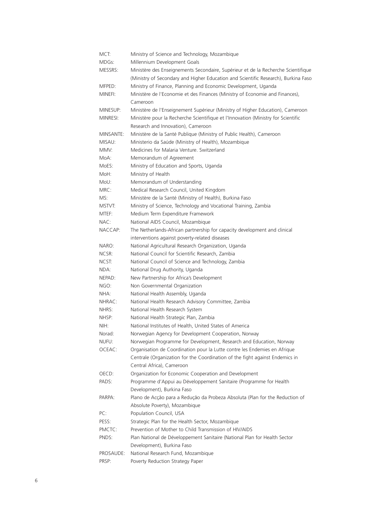| MCT:      | Ministry of Science and Technology, Mozambique                                                                                                                          |
|-----------|-------------------------------------------------------------------------------------------------------------------------------------------------------------------------|
| MDGs:     | Millennium Development Goals                                                                                                                                            |
| MESSRS:   | Ministère des Enseignements Secondaire, Supérieur et de la Recherche Scientifique<br>(Ministry of Secondary and Higher Education and Scientific Research), Burkina Faso |
| MFPED:    | Ministry of Finance, Planning and Economic Development, Uganda                                                                                                          |
| MINEFI:   | Ministère de l'Economie et des Finances (Ministry of Economie and Finances),                                                                                            |
|           | Cameroon                                                                                                                                                                |
| MINESUP:  | Ministère de l'Enseignement Supérieur (Ministry of Higher Education), Cameroon                                                                                          |
| MINRESI:  | Ministère pour la Recherche Scientifique et l'Innovation (Ministry for Scientific                                                                                       |
|           | Research and Innovation). Cameroon                                                                                                                                      |
| MINSANTE: | Ministère de la Santé Publique (Ministry of Public Health), Cameroon                                                                                                    |
| MISAU:    | Ministerio da Saúde (Ministry of Health), Mozambique                                                                                                                    |
| MMV:      | Medicines for Malaria Venture. Switzerland                                                                                                                              |
| MoA:      | Memorandum of Agreement                                                                                                                                                 |
| MoES:     | Ministry of Education and Sports, Uganda                                                                                                                                |
| MoH:      | Ministry of Health                                                                                                                                                      |
| MoU:      | Memorandum of Understanding                                                                                                                                             |
| MRC:      | Medical Research Council, United Kingdom                                                                                                                                |
| MS:       | Ministère de la Santé (Ministry of Health), Burkina Faso                                                                                                                |
| MSTVT:    | Ministry of Science, Technology and Vocational Training, Zambia                                                                                                         |
| MTEF:     | Medium Term Expenditure Framework                                                                                                                                       |
| NAC:      | National AIDS Council, Mozambique                                                                                                                                       |
| NACCAP:   | The Netherlands-African partnership for capacity development and clinical                                                                                               |
|           | interventions against poverty-related diseases                                                                                                                          |
| NARO:     | National Agricultural Research Organization, Uganda                                                                                                                     |
| NCSR:     | National Council for Scientific Research, Zambia                                                                                                                        |
| NCST:     | National Council of Science and Technology, Zambia                                                                                                                      |
| NDA:      | National Drug Authority, Uganda                                                                                                                                         |
| NEPAD:    | New Partnership for Africa's Development                                                                                                                                |
| NGO:      | Non Governmental Organization                                                                                                                                           |
| NHA:      | National Health Assembly, Uganda                                                                                                                                        |
| NHRAC:    | National Health Research Advisory Committee, Zambia                                                                                                                     |
| NHRS:     | National Health Research System                                                                                                                                         |
| NHSP:     | National Health Strategic Plan, Zambia                                                                                                                                  |
| NIH:      | National Institutes of Health, United States of America                                                                                                                 |
| Norad:    | Norwegian Agency for Development Cooperation, Norway                                                                                                                    |
| NUFU:     | Norwegian Programme for Development, Research and Education, Norway                                                                                                     |
| OCEAC:    | Organisation de Coordination pour la Lutte contre les Endemies en Afrique                                                                                               |
|           | Centrale (Organization for the Coordination of the fight against Endemics in                                                                                            |
|           | Central Africa), Cameroon                                                                                                                                               |
| OECD:     | Organization for Economic Cooperation and Development                                                                                                                   |
| PADS:     | Programme d'Appui au Développement Sanitaire (Programme for Health<br>Development), Burkina Faso                                                                        |
| PARPA:    | Plano de Acção para a Redução da Probeza Absoluta (Plan for the Reduction of<br>Absolute Poverty), Mozambique                                                           |
| PC:       | Population Council, USA                                                                                                                                                 |
| PESS:     | Strategic Plan for the Health Sector, Mozambique                                                                                                                        |
| PMCTC:    | Prevention of Mother to Child Transmission of HIV/AIDS                                                                                                                  |
| PNDS:     | Plan National de Développement Sanitaire (National Plan for Health Sector                                                                                               |
|           | Development), Burkina Faso                                                                                                                                              |
| PROSAUDE: | National Research Fund, Mozambique                                                                                                                                      |
| PRSP:     | Poverty Reduction Strategy Paper                                                                                                                                        |
|           |                                                                                                                                                                         |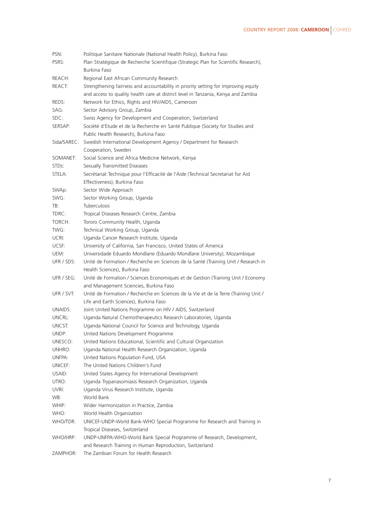| PSN:              | Politique Sanitaire Nationale (National Health Policy), Burkina Faso                 |
|-------------------|--------------------------------------------------------------------------------------|
| PSRS:             | Plan Stratégique de Recherche Scientifique (Strategic Plan for Scientific Research), |
|                   | Burkina Faso                                                                         |
| REACH:            | Regional East African Community Research                                             |
| REACT:            | Strengthening fairness and accountability in priority setting for improving equity   |
|                   | and access to quality health care at district level in Tanzania, Kenya and Zambia    |
| REDS:             | Network for Ethics, Rights and HIV/AIDS, Cameroon                                    |
|                   |                                                                                      |
| SAG:              | Sector Advisory Group, Zambia                                                        |
| SDC:              | Swiss Agency for Development and Cooperation, Switzerland                            |
| SERSAP:           | Société d'Etude et de la Recherche en Santé Publique (Society for Studies and        |
|                   | Public Health Research), Burkina Faso                                                |
| Sida/SAREC:       | Swedish International Development Agency / Department for Research                   |
|                   | Cooperation, Sweden                                                                  |
| SOMANET:          | Social Science and Africa Medicine Network, Kenya                                    |
| STD <sub>s:</sub> | Sexually Transmitted Diseases                                                        |
| STELA:            | Secrétariat Technique pour l'Efficacité de l'Aide (Technical Secretariat for Aid     |
|                   | Effectiveness), Burkina Faso                                                         |
| SWAp:             | Sector Wide Approach                                                                 |
| SWG:              | Sector Working Group, Uganda                                                         |
| TB:               | <b>Tuberculosis</b>                                                                  |
| TDRC:             | Tropical Diseases Research Centre, Zambia                                            |
| TORCH:            | Tororo Community Health, Uganda                                                      |
|                   |                                                                                      |
| TWG:              | Technical Working Group, Uganda                                                      |
| UCRI:             | Uganda Cancer Research Institute, Uganda                                             |
| UCSF:             | University of California, San Francisco, United States of America                    |
| UEM:              | Universidade Eduardo Mondlane (Eduardo Mondlane University), Mozambique              |
| UFR / SDS:        | Unité de Formation / Recherche en Sciences de la Santé (Training Unit / Research in  |
|                   | Health Sciences), Burkina Faso                                                       |
| UFR / SEG:        | Unité de Formation / Sciences Economiques et de Gestion (Training Unit / Economy     |
|                   | and Management Sciencies, Burkina Faso                                               |
| UFR / SVT:        | Unité de Formation / Recherche en Sciences de la Vie et de la Terre (Training Unit / |
|                   | Life and Earth Sciences), Burkina Faso                                               |
| UNAIDS:           | Joint United Nations Programme on HIV / AIDS, Switzerland                            |
| UNCRL:            | Uganda Natural Chemotherapeutics Research Laboratories, Uganda                       |
| UNCST:            | Uganda National Council for Science and Technology, Uganda                           |
| UNDP:             | United Nations Development Programme                                                 |
| UNESCO:           | United Nations Educational, Scientific and Cultural Organization                     |
| UNHRO:            | Uganda National Health Research Organization, Uganda                                 |
| UNFPA:            | United Nations Population Fund, USA                                                  |
| UNICEF:           | The United Nations Children's Fund                                                   |
|                   |                                                                                      |
| USAID:            | United States Agency for International Development                                   |
| UTRO:             | Uganda Trypanasomiasis Research Organization, Uganda                                 |
| UVRI:             | Uganda Virus Research Institute, Uganda                                              |
| WB:               | World Bank                                                                           |
| WHIP:             | Wider Harmonization in Practice, Zambia                                              |
| WHO:              | World Health Organization                                                            |
| WHO/TDR:          | UNICEF-UNDP-World Bank-WHO Special Programme for Research and Training in            |
|                   | Tropical Diseases, Switzerland                                                       |
| WHO/HRP:          | UNDP-UNFPA-WHO-World Bank Special Programme of Research, Development,                |
|                   | and Research Training in Human Reproduction, Switzerland                             |
| ZAMPHOR:          | The Zambian Forum for Health Research                                                |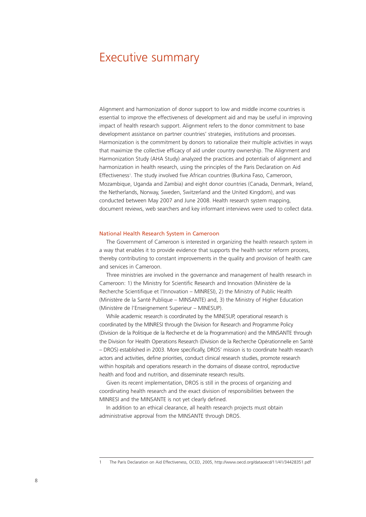### Executive summary

Alignment and harmonization of donor support to low and middle income countries is essential to improve the effectiveness of development aid and may be useful in improving impact of health research support. Alignment refers to the donor commitment to base development assistance on partner countries' strategies, institutions and processes. Harmonization is the commitment by donors to rationalize their multiple activities in ways that maximize the collective efficacy of aid under country ownership. The Alignment and Harmonization Study (AHA Study) analyzed the practices and potentials of alignment and harmonization in health research, using the principles of the Paris Declaration on Aid Effectiveness<sup>1</sup>. The study involved five African countries (Burkina Faso, Cameroon, Mozambique, Uganda and Zambia) and eight donor countries (Canada, Denmark, Ireland, the Netherlands, Norway, Sweden, Switzerland and the United Kingdom), and was conducted between May 2007 and June 2008. Health research system mapping, document reviews, web searchers and key informant interviews were used to collect data.

#### National Health Research System in Cameroon

The Government of Cameroon is interested in organizing the health research system in a way that enables it to provide evidence that supports the health sector reform process, thereby contributing to constant improvements in the quality and provision of health care and services in Cameroon.

Three ministries are involved in the governance and management of health research in Cameroon: 1) the Ministry for Scientific Research and Innovation (Ministère de la Recherche Scientifique et l'Innovation – MINRESI), 2) the Ministry of Public Health (Ministère de la Santé Publique – MINSANTE) and, 3) the Ministry of Higher Education (Ministère de l'Enseignement Superieur – MINESUP).

While academic research is coordinated by the MINESUP, operational research is coordinated by the MINRESI through the Division for Research and Programme Policy (Division de la Politique de la Recherche et de la Programmation) and the MINSANTE through the Division for Health Operations Research (Division de la Recherche Opérationnelle en Santé – DROS) established in 2003. More specifically, DROS' mission is to coordinate health research actors and activities, define priorities, conduct clinical research studies, promote research within hospitals and operations research in the domains of disease control, reproductive health and food and nutrition, and disseminate research results.

Given its recent implementation, DROS is still in the process of organizing and coordinating health research and the exact division of responsibilities between the MINRESI and the MINSANTE is not yet clearly defined.

In addition to an ethical clearance, all health research projects must obtain administrative approval from the MINSANTE through DROS.

<sup>1</sup> The Paris Declaration on Aid Effectiveness, OCED, 2005, http://www.oecd.org/dataoecd/11/41/34428351.pdf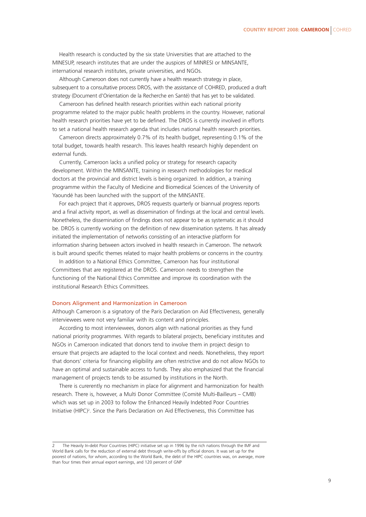Health research is conducted by the six state Universities that are attached to the MINESUP, research institutes that are under the auspices of MINRESI or MINSANTE, international research institutes, private universities, and NGOs.

Although Cameroon does not currently have a health research strategy in place, subsequent to a consultative process DROS, with the assistance of COHRED, produced a draft strategy (Document d'Orientation de la Recherche en Santé) that has yet to be validated.

Cameroon has defined health research priorities within each national priority programme related to the major public health problems in the country. However, national health research priorities have yet to be defined. The DROS is currently involved in efforts to set a national health research agenda that includes national health research priorities.

Cameroon directs approximately 0.7% of its health budget, representing 0.1% of the total budget, towards health research. This leaves health research highly dependent on external funds.

Currently, Cameroon lacks a unified policy or strategy for research capacity development. Within the MINSANTE, training in research methodologies for medical doctors at the provincial and district levels is being organized. In addition, a training programme within the Faculty of Medicine and Biomedical Sciences of the University of Yaoundé has been launched with the support of the MINSANTE.

For each project that it approves, DROS requests quarterly or biannual progress reports and a final activity report, as well as dissemination of findings at the local and central levels. Nonetheless, the dissemination of findings does not appear to be as systematic as it should be. DROS is currently working on the definition of new dissemination systems. It has already initiated the implementation of networks consisting of an interactive platform for information sharing between actors involved in health research in Cameroon. The network is built around specific themes related to major health problems or concerns in the country.

In addition to a National Ethics Committee, Cameroon has four institutional Committees that are registered at the DROS. Cameroon needs to strengthen the functioning of the National Ethics Committee and improve its coordination with the institutional Research Ethics Committees.

#### Donors Alignment and Harmonization in Cameroon

Although Cameroon is a signatory of the Paris Declaration on Aid Effectiveness, generally interviewees were not very familiar with its content and principles.

According to most interviewees, donors align with national priorities as they fund national priority programmes. With regards to bilateral projects, beneficiary institutes and NGOs in Cameroon indicated that donors tend to involve them in project design to ensure that projects are adapted to the local context and needs. Nonetheless, they report that donors' criteria for financing eligibility are often restrictive and do not allow NGOs to have an optimal and sustainable access to funds. They also emphasized that the financial management of projects tends to be assumed by institutions in the North.

There is curerently no mechanism in place for alignment and harmonization for health research. There is, however, a Multi Donor Committee (Comité Multi-Bailleurs – CMB) which was set up in 2003 to follow the Enhanced Heavily Indebted Poor Countries Initiative (HIPC)<sup>2</sup>. Since the Paris Declaration on Aid Effectiveness, this Committee has

The Heavily In-debt Poor Countries (HIPC) initiative set up in 1996 by the rich nations through the IMF and World Bank calls for the reduction of external debt through write-offs by official donors. It was set up for the poorest of nations, for whom, according to the World Bank, the debt of the HIPC countries was, on average, more than four times their annual export earnings, and 120 percent of GNP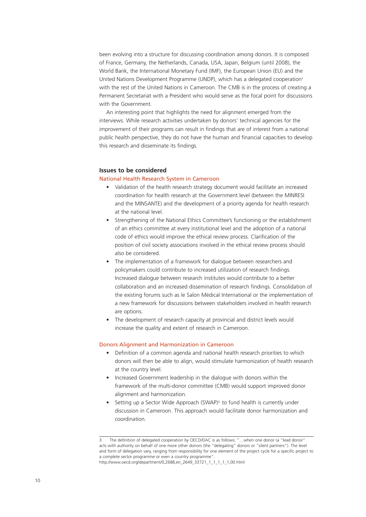been evolving into a structure for discussing coordination among donors. It is composed of France, Germany, the Netherlands, Canada, USA, Japan, Belgium (until 2008), the World Bank, the International Monetary Fund (IMF), the European Union (EU) and the United Nations Development Programme (UNDP), which has a delegated cooperation<sup>3</sup> with the rest of the United Nations in Cameroon. The CMB is in the process of creating a Permanent Secretariat with a President who would serve as the focal point for discussions with the Government.

An interesting point that highlights the need for alignment emerged from the interviews. While research activities undertaken by donors' technical agencies for the improvement of their programs can result in findings that are of interest from a national public health perspective, they do not have the human and financial capacities to develop this research and disseminate its findings.

#### **Issues to be considered**

#### National Health Research System in Cameroon

- Validation of the health research strategy document would facilitate an increased coordination for health research at the Government level (between the MINRESI and the MINSANTE) and the development of a priority agenda for health research at the national level.
- Strengthening of the National Ethics Committee's functioning or the establishment of an ethics committee at every institutional level and the adoption of a national code of ethics would improve the ethical review process. Clarification of the position of civil society associations involved in the ethical review process should also be considered.
- The implementation of a framework for dialogue between researchers and policymakers could contribute to increased utilization of research findings. Increased dialogue between research institutes would contribute to a better collaboration and an increased dissemination of research findings. Consolidation of the existing forums such as le Salon Médical International or the implementation of a new framework for discussions between stakeholders involved in health research are options.
- The development of research capacity at provincial and district levels would increase the quality and extent of research in Cameroon.

#### Donors Alignment and Harmonization in Cameroon

- Definition of a common agenda and national health research priorities to which donors will then be able to align, would stimulate harmonization of health research at the country level.
- Increased Government leadership in the dialogue with donors within the framework of the multi-donor committee (CMB) would support improved donor alignment and harmonization.
- Setting up a Sector Wide Approach (SWAP)<sup>4,</sup> to fund health is currently under discussion in Cameroon. This approach would facilitate donor harmonization and coordination.

The definition of delegated cooperation by OECD/DAC is as follows: "...when one donor (a "lead donor" acts with authority on behalf of one more other donors (the "delegating" donors or "silent partners"). The level and form of delegation vary, ranging from responsibility for one element of the project cycle for a specific project to a complete sector programme or even a country programme".

http://www.oecd.org/department/0,2688,en\_2649\_33721\_1\_1\_1\_1\_1,00.html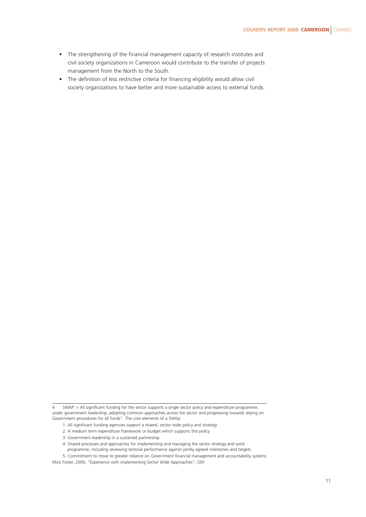- The strengthening of the financial management capacity of research institutes and civil society organizations in Cameroon would contribute to the transfer of projects management from the North to the South.
- The definition of less restrictive criteria for financing eligibility would allow civil society organizations to have better and more sustainable access to external funds.

- 1. All significant funding agencies support a shared, sector wide policy and strategy
- 2. A medium term expenditure framework or budget which supports this policy
- 3. Government leadership in a sustained partnership
- 4. Shared processes and approaches for implementing and managing the sector strategy and work programme, including reviewing sectoral performance against jointly agreed milestones and targets

5. Commitment to move to greater reliance on Government financial management and accountability systems

Mick Foster, 2000, "Experience with implementing Sector Wide Approaches", ODI

<sup>4</sup> SWAP: « All significant funding for the sector supports a single sector policy and expenditure programme, under government leadership, adopting common approaches across the sector and progressing towards relying on Government procedures for all funds". The core elements of a SWAp: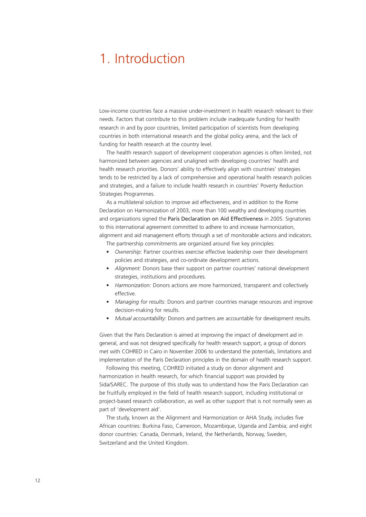### 1. Introduction

Low-income countries face a massive under-investment in health research relevant to their needs. Factors that contribute to this problem include inadequate funding for health research in and by poor countries, limited participation of scientists from developing countries in both international research and the global policy arena, and the lack of funding for health research at the country level.

The health research support of development cooperation agencies is often limited, not harmonized between agencies and unaligned with developing countries' health and health research priorities. Donors' ability to effectively align with countries' strategies tends to be restricted by a lack of comprehensive and operational health research policies and strategies, and a failure to include health research in countries' Poverty Reduction Strategies Programmes.

As a multilateral solution to improve aid effectiveness, and in addition to the Rome Declaration on Harmonization of 2003, more than 100 wealthy and developing countries and organizations signed the Paris Declaration on Aid Effectiveness in 2005. Signatories to this international agreement committed to adhere to and increase harmonization, alignment and aid management efforts through a set of monitorable actions and indicators.

The partnership commitments are organized around five key principles:

- *Ownership*: Partner countries exercise effective leadership over their development policies and strategies, and co-ordinate development actions.
- *Alignment:* Donors base their support on partner countries' national development strategies, institutions and procedures.
- *Harmonization:* Donors actions are more harmonized, transparent and collectively effective.
- *Managing for results*: Donors and partner countries manage resources and improve decision-making for results.
- *Mutual accountability*: Donors and partners are accountable for development results.

Given that the Paris Declaration is aimed at improving the impact of development aid in general, and was not designed specifically for health research support, a group of donors met with COHRED in Cairo in November 2006 to understand the potentials, limitations and implementation of the Paris Declaration principles in the domain of health research support.

Following this meeting, COHRED initiated a study on donor alignment and harmonization in health research, for which financial support was provided by Sida/SAREC. The purpose of this study was to understand how the Paris Declaration can be fruitfully employed in the field of health research support, including institutional or project-based research collaboration, as well as other support that is not normally seen as part of 'development aid'.

The study, known as the Alignment and Harmonization or AHA Study, includes five African countries: Burkina Faso, Cameroon, Mozambique, Uganda and Zambia; and eight donor countries: Canada, Denmark, Ireland, the Netherlands, Norway, Sweden, Switzerland and the United Kingdom.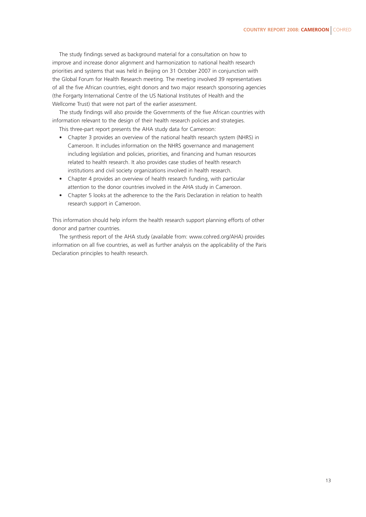The study findings served as background material for a consultation on how to improve and increase donor alignment and harmonization to national health research priorities and systems that was held in Beijing on 31 October 2007 in conjunction with the Global Forum for Health Research meeting. The meeting involved 39 representatives of all the five African countries, eight donors and two major research sponsoring agencies (the Forgarty International Centre of the US National Institutes of Health and the Wellcome Trust) that were not part of the earlier assessment.

The study findings will also provide the Governments of the five African countries with information relevant to the design of their health research policies and strategies.

This three-part report presents the AHA study data for Cameroon:

- Chapter 3 provides an overview of the national health research system (NHRS) in Cameroon. It includes information on the NHRS governance and management including legislation and policies, priorities, and financing and human resources related to health research. It also provides case studies of health research institutions and civil society organizations involved in health research.
- Chapter 4 provides an overview of health research funding, with particular attention to the donor countries involved in the AHA study in Cameroon.
- Chapter 5 looks at the adherence to the the Paris Declaration in relation to health research support in Cameroon.

This information should help inform the health research support planning efforts of other donor and partner countries.

The synthesis report of the AHA study (available from: www.cohred.org/AHA) provides information on all five countries, as well as further analysis on the applicability of the Paris Declaration principles to health research.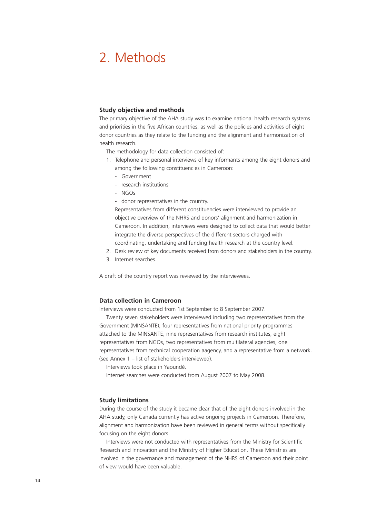### 2. Methods

#### **Study objective and methods**

The primary objective of the AHA study was to examine national health research systems and priorities in the five African countries, as well as the policies and activities of eight donor countries as they relate to the funding and the alignment and harmonization of health research.

The methodology for data collection consisted of:

- 1. Telephone and personal interviews of key informants among the eight donors and among the following constituencies in Cameroon:
	- Government
	- research institutions
	- NGOs
	- donor representatives in the country.

Representatives from different constituencies were interviewed to provide an objective overview of the NHRS and donors' alignment and harmonization in Cameroon. In addition, interviews were designed to collect data that would better integrate the diverse perspectives of the different sectors charged with coordinating, undertaking and funding health research at the country level.

- 2. Desk review of key documents received from donors and stakeholders in the country.
- 3. Internet searches.

A draft of the country report was reviewed by the interviewees.

#### **Data collection in Cameroon**

Interviews were conducted from 1st September to 8 September 2007.

Twenty seven stakeholders were interviewed including two representatives from the Government (MINSANTE), four representatives from national priority programmes attached to the MINSANTE, nine representatives from research institutes, eight representatives from NGOs, two representatives from multilateral agencies, one representatives from technical cooperation aagency, and a representative from a network. (see Annex 1 – list of stakeholders interviewed).

Interviews took place in Yaoundé.

Internet searches were conducted from August 2007 to May 2008.

#### **Study limitations**

During the course of the study it became clear that of the eight donors involved in the AHA study, only Canada currently has active ongoing projects in Cameroon. Therefore, alignment and harmonization have been reviewed in general terms without specifically focusing on the eight donors.

Interviews were not conducted with representatives from the Ministry for Scientific Research and Innovation and the Ministry of Higher Education. These Ministries are involved in the governance and management of the NHRS of Cameroon and their point of view would have been valuable.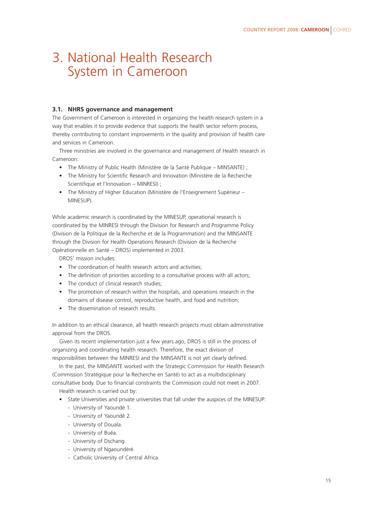### 3. National Health Research System in Cameroon

#### **3.1. NHRS governance and management**

The Government of Cameroon is interested in organizing the health research system in a way that enables it to provide evidence that supports the health sector reform process, thereby contributing to constant improvements in the quality and provision of health care and services in Cameroon.

Three ministries are involved in the governance and management of Health research in Cameroon:

- The Ministry of Public Health (Ministère de la Santé Publique MINSANTE) ;
- The Ministry for Scientific Research and Innovation (Ministère de la Recherche Scientifique et l'Innovation – MINRESI) ;
- The Ministry of Higher Education (Ministère de l'Enseignement Supérieur MINESUP).

While academic research is coordinated by the MINESUP, operational research is coordinated by the MINRESI through the Division for Research and Programme Policy (Division de la Politique de la Recherche et de la Programmation) and the MINSANTE through the Division for Health Operations Research (Division de la Recherche Opérationnelle en Santé – DROS) implemented in 2003.

DROS' mission includes:

- The coordination of health research actors and activities:
- The definition of priorities according to a consultative process with all actors;
- The conduct of clinical research studies;
- The promotion of research within the hospitals, and operations research in the domains of disease control, reproductive health, and food and nutrition;
- The dissemination of research results.

In addition to an ethical clearance, all health research projects must obtain administrative approval from the DROS.

Given its recent implementation just a few years ago, DROS is still in the process of organizing and coordinating health research. Therefore, the exact division of responsibilities between the MINRESI and the MINSANTE is not yet clearly defined.

In the past, the MINSANTE worked with the Strategic Commission for Health Research (Commission Stratégique pour la Recherche en Santé) to act as a multidisciplinary consultative body. Due to financial constraints the Commission could not meet in 2007.

Health research is carried out by:

- State Universities and private universities that fall under the auspices of the MINESUP:
	- University of Yaoundé 1.
	- University of Yaoundé 2.
	- University of Douala.
	- University of Buéa.
	- University of Dschang.
	- University of Ngaoundéré.
	- Catholic University of Central Africa.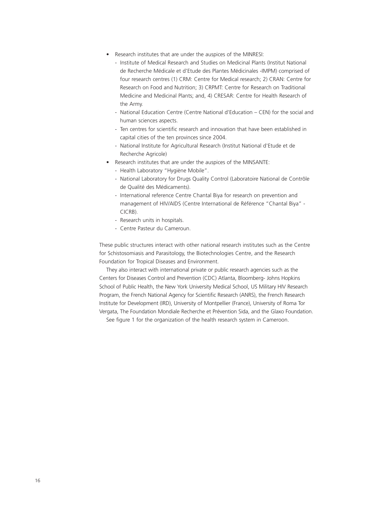- Research institutes that are under the auspices of the MINRESI:
	- Institute of Medical Research and Studies on Medicinal Plants (Institut National de Recherche Médicale et d'Etude des Plantes Médicinales -IMPM) comprised of four research centres (1) CRM: Centre for Medical research; 2) CRAN: Centre for Research on Food and Nutrition; 3) CRPMT: Centre for Research on Traditional Medicine and Medicinal Plants; and, 4) CRESAR: Centre for Health Research of the Army.
	- National Education Centre (Centre National d'Education CEN) for the social and human sciences aspects.
	- Ten centres for scientific research and innovation that have been established in capital cities of the ten provinces since 2004.
	- National Institute for Agricultural Research (Institut National d'Etude et de Recherche Agricole)
- Research institutes that are under the auspices of the MINSANTE:
	- Health Laboratory "Hygiène Mobile".
	- National Laboratory for Drugs Quality Control (Laboratoire National de Contrôle de Qualité des Médicaments).
	- International reference Centre Chantal Biya for research on prevention and management of HIV/AIDS (Centre International de Référence "Chantal Biya" - CICRB).
	- Research units in hospitals.
	- Centre Pasteur du Cameroun.

These public structures interact with other national research institutes such as the Centre for Schistosomiasis and Parasitology, the Biotechnologies Centre, and the Research Foundation for Tropical Diseases and Environment.

They also interact with international private or public research agencies such as the Centers for Diseases Control and Prevention (CDC) Atlanta, Bloomberg- Johns Hopkins School of Public Health, the New York University Medical School, US Military HIV Research Program, the French National Agency for Scientific Research (ANRS), the French Research Institute for Development (IRD), University of Montpellier (France), University of Roma Tor Vergata, The Foundation Mondiale Recherche et Prévention Sida, and the Glaxo Foundation.

See figure 1 for the organization of the health research system in Cameroon.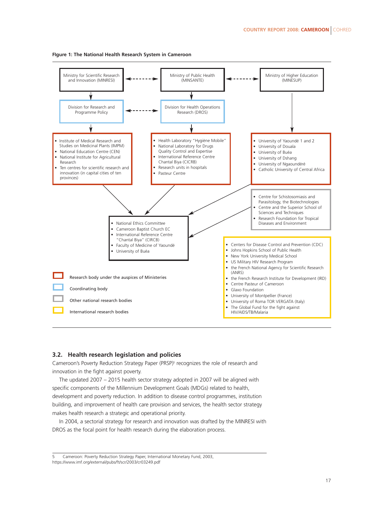

#### **FIgure 1: The National Health Research System in Cameroon**

#### **3.2. Health research legislation and policies**

Cameroon's Poverty Reduction Strategy Paper (PRSP)<sup>5</sup> recognizes the role of research and innovation in the fight against poverty.

The updated 2007 – 2015 health sector strategy adopted in 2007 will be aligned with specific components of the Millennium Development Goals (MDGs) related to health, development and poverty reduction. In addition to disease control programmes, institution building, and improvement of health care provision and services, the health sector strategy makes health research a strategic and operational priority.

In 2004, a sectorial strategy for research and innovation was drafted by the MINRESI with DROS as the focal point for health research during the elaboration process.

5 Cameroon: Poverty Reduction Strategy Paper, International Monetary Fund, 2003, https://www.imf.org/external/pubs/ft/scr/2003/cr03249.pdf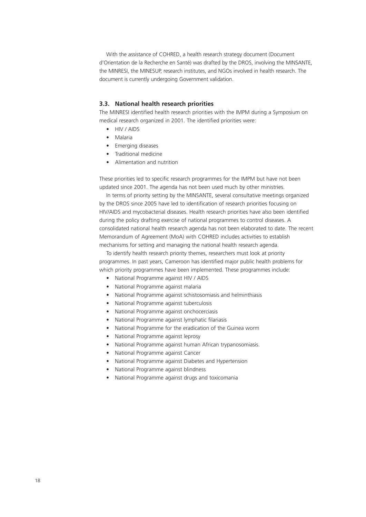With the assistance of COHRED, a health research strategy document (Document d'Orientation de la Recherche en Santé) was drafted by the DROS, involving the MINSANTE, the MINRESI, the MINESUP, research institutes, and NGOs involved in health research. The document is currently undergoing Government validation.

#### **3.3. National health research priorities**

The MINRESI identified health research priorities with the IMPM during a Symposium on medical research organized in 2001. The identified priorities were:

- HIV / AIDS
- Malaria
- Emerging diseases
- Traditional medicine
- Alimentation and nutrition

These priorities led to specific research programmes for the IMPM but have not been updated since 2001. The agenda has not been used much by other ministries.

In terms of priority setting by the MINSANTE, several consultative meetings organized by the DROS since 2005 have led to identification of research priorities focusing on HIV/AIDS and mycobacterial diseases. Health research priorities have also been identified during the policy drafting exercise of national programmes to control diseases. A consolidated national health research agenda has not been elaborated to date. The recent Memorandum of Agreement (MoA) with COHRED includes activities to establish mechanisms for setting and managing the national health research agenda.

To identify health research priority themes, researchers must look at priority programmes. In past years, Cameroon has identified major public health problems for which priority programmes have been implemented. These programmes include:

- National Programme against HIV / AIDS
- National Programme against malaria
- National Programme against schistosomiasis and helminthiasis
- National Programme against tuberculosis
- National Programme against onchocerciasis
- National Programme against lymphatic filariasis
- National Programme for the eradication of the Guinea worm
- National Programme against leprosy
- National Programme against human African trypanosomiasis.
- National Programme against Cancer
- National Programme against Diabetes and Hypertension
- National Programme against blindness
- National Programme against drugs and toxicomania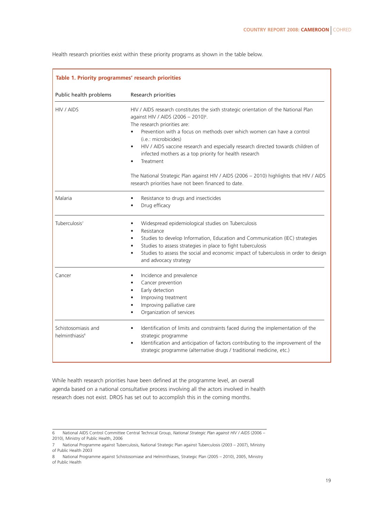| Table 1. Priority programmes' research priorities |                                                                                                                                                                                                                                                                                                                                                                                                                                                                                                                                              |  |
|---------------------------------------------------|----------------------------------------------------------------------------------------------------------------------------------------------------------------------------------------------------------------------------------------------------------------------------------------------------------------------------------------------------------------------------------------------------------------------------------------------------------------------------------------------------------------------------------------------|--|
| Public health problems<br>Research priorities     |                                                                                                                                                                                                                                                                                                                                                                                                                                                                                                                                              |  |
| HIV / AIDS                                        | HIV / AIDS research constitutes the sixth strategic orientation of the National Plan<br>against HIV / AIDS (2006 - 2010) <sup>6</sup> .<br>The research priorities are:<br>Prevention with a focus on methods over which women can have a control<br>(i.e.: microbicides)<br>HIV / AIDS vaccine research and especially research directed towards children of<br>$\bullet$<br>infected mothers as a top priority for health research<br>Treatment<br>The National Strategic Plan against HIV / AIDS (2006 - 2010) highlights that HIV / AIDS |  |
|                                                   | research priorities have not been financed to date.                                                                                                                                                                                                                                                                                                                                                                                                                                                                                          |  |
| Malaria                                           | Resistance to drugs and insecticides<br>$\bullet$<br>Drug efficacy                                                                                                                                                                                                                                                                                                                                                                                                                                                                           |  |
| Tuberculosis <sup>7</sup>                         | Widespread epidemiological studies on Tuberculosis<br>Resistance<br>Studies to develop Information, Education and Communication (IEC) strategies<br>Studies to assess strategies in place to fight tuberculosis<br>$\bullet$<br>Studies to assess the social and economic impact of tuberculosis in order to design<br>$\bullet$<br>and advocacy strategy                                                                                                                                                                                    |  |
| Cancer                                            | Incidence and prevalence<br>$\bullet$<br>Cancer prevention<br>$\bullet$<br>Early detection<br>Improving treatment<br>Improving palliative care<br>Organization of services                                                                                                                                                                                                                                                                                                                                                                   |  |
| Schistosomiasis and<br>helminthiasis <sup>8</sup> | Identification of limits and constraints faced during the implementation of the<br>strategic programme<br>Identification and anticipation of factors contributing to the improvement of the<br>$\bullet$<br>strategic programme (alternative drugs / traditional medicine, etc.)                                                                                                                                                                                                                                                             |  |

Health research priorities exist within these priority programs as shown in the table below.

While health research priorities have been defined at the programme level, an overall agenda based on a national consultative process involving all the actors involved in health research does not exist. DROS has set out to accomplish this in the coming months.

<sup>6</sup> National AIDS Control Committee Central Technical Group, *National Strategic Plan against HIV / AIDS* (2006 – 2010), Ministry of Public Health, 2006

<sup>7</sup> National Programme against Tuberculosis, National Strategic Plan against Tuberculosis (2003 – 2007), Ministry of Public Health 2003

<sup>8</sup> National Programme against Schistosomiase and Helminthiases, Strategic Plan (2005 – 2010), 2005, Ministry of Public Health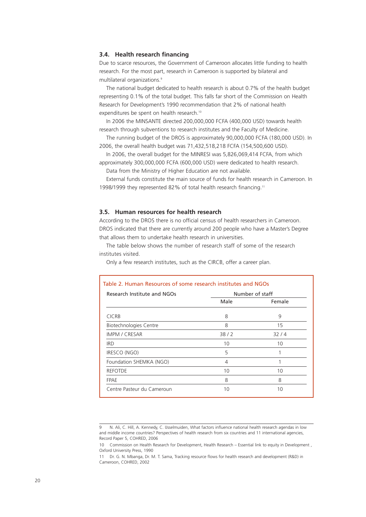#### **3.4. Health research financing**

Due to scarce resources, the Government of Cameroon allocates little funding to health research. For the most part, research in Cameroon is supported by bilateral and multilateral organizations.<sup>9</sup>

The national budget dedicated to health research is about 0.7% of the health budget representing 0.1% of the total budget. This falls far short of the Commission on Health Research for Development's 1990 recommendation that 2% of national health expenditures be spent on health research.<sup>10</sup>

In 2006 the MINSANTE directed 200,000,000 FCFA (400,000 USD) towards health research through subventions to research institutes and the Faculty of Medicine.

The running budget of the DROS is approximately 90,000,000 FCFA (180,000 USD). In 2006, the overall health budget was 71,432,518,218 FCFA (154,500,600 USD).

In 2006, the overall budget for the MINRESI was 5,826,069,414 FCFA, from which approximately 300,000,000 FCFA (600,000 USD) were dedicated to health research.

Data from the Ministry of Higher Education are not available.

External funds constitute the main source of funds for health research in Cameroon. In 1998/1999 they represented 82% of total health research financing.11

#### **3.5. Human resources for health research**

According to the DROS there is no official census of health researchers in Cameroon. DROS indicated that there are currently around 200 people who have a Master's Degree that allows them to undertake health research in universities.

The table below shows the number of research staff of some of the research institutes visited.

Only a few research institutes, such as the CIRCB, offer a career plan.

| Table 2. Human Resources of some research institutes and NGOs |                 |        |
|---------------------------------------------------------------|-----------------|--------|
| Research Institute and NGOs                                   | Number of staff |        |
|                                                               | Male            | Female |
| <b>CICRB</b>                                                  | 8               | 9      |
| <b>Biotechnologies Centre</b>                                 | 8               | 15     |
| <b>IMPM / CRESAR</b>                                          | 38/2            | 32/4   |
| <b>IRD</b>                                                    | 10              | 10     |
| IRESCO (NGO)                                                  | 5               |        |
| Foundation SHEMKA (NGO)                                       | 4               |        |
| <b>REFOTDE</b>                                                | 10              | 10     |
| <b>FPAE</b>                                                   | 8               | 8      |
| Centre Pasteur du Cameroun                                    | 10              | 10     |
|                                                               |                 |        |

<sup>9</sup> N. Ali, C. Hill, A. Kennedy, C. IJsselmuiden, What factors influence national health research agendas in low and middle income countries? Perspectives of health research from six countries and 11 international agencies, Record Paper 5, COHRED, 2006

<sup>10</sup> Commission on Health Research for Development, Health Research – Essential link to equity in Development, Oxford University Press, 1990

<sup>11</sup> Dr. G. N. Mbanga, Dr. M. T. Sama, Tracking resource flows for health research and development (R&D) in Cameroon, COHRED, 2002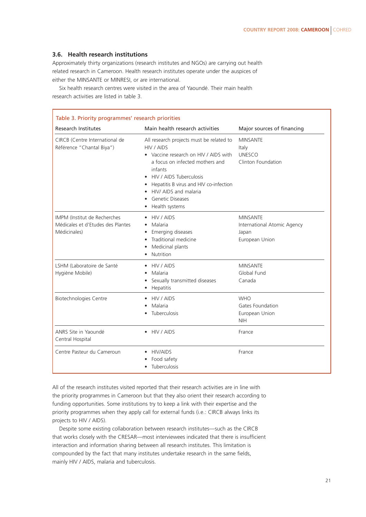#### **3.6. Health research institutions**

Approximately thirty organizations (research institutes and NGOs) are carrying out health related research in Cameroon. Health research institutes operate under the auspices of either the MINSANTE or MINRESI, or are international.

Six health research centres were visited in the area of Yaoundé. Their main health research activities are listed in table 3.

| Table 3. Priority programmes' research priorities                                         |                                                                                                                                                                                                                                                                                          |                                                                           |
|-------------------------------------------------------------------------------------------|------------------------------------------------------------------------------------------------------------------------------------------------------------------------------------------------------------------------------------------------------------------------------------------|---------------------------------------------------------------------------|
| <b>Research Institutes</b>                                                                | Main health research activities                                                                                                                                                                                                                                                          | Major sources of financing                                                |
| CIRCB (Centre International de<br>Référence "Chantal Biya")                               | All research projects must be related to<br>HIV / AIDS<br>• Vaccine research on HIV / AIDS with<br>a focus on infected mothers and<br>infants<br>HIV / AIDS Tuberculosis<br>Hepatitis B virus and HIV co-infection<br>HIV/ AIDS and malaria<br><b>Genetic Diseases</b><br>Health systems | <b>MINSANTE</b><br>Italy<br><b>UNESCO</b><br>Clinton Foundation           |
| <b>IMPM (Institut de Recherches)</b><br>Médicales et d'Etudes des Plantes<br>Médicinales) | • HIV / AIDS<br>Malaria<br>$\bullet$<br>Emerging diseases<br>Traditional medicine<br>Medicinal plants<br>Nutrition<br>$\bullet$                                                                                                                                                          | <b>MINSANTE</b><br>International Atomic Agency<br>Japan<br>European Union |
| LSHM (Laboratoire de Santé<br>Hygiène Mobile)                                             | HIV / AIDS<br>Malaria<br>Sexually transmitted diseases<br>Hepatitis<br>٠                                                                                                                                                                                                                 | <b>MINSANTE</b><br>Global Fund<br>Canada                                  |
| Biotechnologies Centre                                                                    | HIV / AIDS<br>Malaria<br>٠<br>Tuberculosis                                                                                                                                                                                                                                               | <b>WHO</b><br>Gates Foundation<br>European Union<br><b>NIH</b>            |
| ANRS Site in Yaoundé<br>Central Hospital                                                  | $\bullet$ HIV / AIDS                                                                                                                                                                                                                                                                     | France                                                                    |
| Centre Pasteur du Cameroun                                                                | • HIV/AIDS<br>Food safety<br>Tuberculosis                                                                                                                                                                                                                                                | France                                                                    |

All of the research institutes visited reported that their research activities are in line with the priority programmes in Cameroon but that they also orient their research according to funding opportunities. Some institutions try to keep a link with their expertise and the priority programmes when they apply call for external funds (i.e.: CIRCB always links its projects to HIV / AIDS).

Despite some existing collaboration between research institutes—such as the CIRCB that works closely with the CRESAR—most interviewees indicated that there is insufficient interaction and information sharing between all research institutes. This limitation is compounded by the fact that many institutes undertake research in the same fields, mainly HIV / AIDS, malaria and tuberculosis.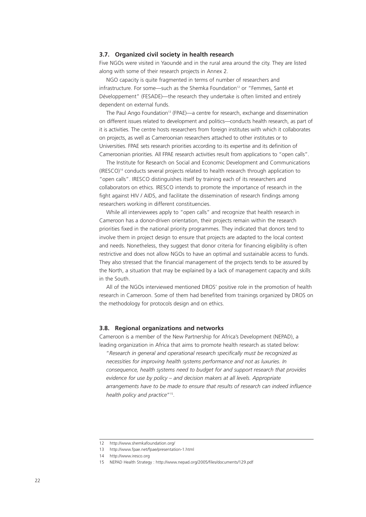#### **3.7. Organized civil society in health research**

Five NGOs were visited in Yaoundé and in the rural area around the city. They are listed along with some of their research projects in Annex 2.

NGO capacity is quite fragmented in terms of number of researchers and infrastructure. For some-such as the Shemka Foundation<sup>12</sup> or "Femmes, Santé et Développement" (FESADE)—the research they undertake is often limited and entirely dependent on external funds.

The Paul Ango Foundation<sup>13</sup> (FPAE)—a centre for research, exchange and dissemination on different issues related to development and politics—conducts health research, as part of it is activities. The centre hosts researchers from foreign institutes with which it collaborates on projects, as well as Cameroonian researchers attached to other institutes or to Universities. FPAE sets research priorities according to its expertise and its definition of Cameroonian priorities. All FPAE research activities result from applications to "open calls".

The Institute for Research on Social and Economic Development and Communications  $(IRESCO)^{14}$  conducts several projects related to health research through application to "open calls". IRESCO distinguishes itself by training each of its researchers and collaborators on ethics. IRESCO intends to promote the importance of research in the fight against HIV / AIDS, and facilitate the dissemination of research findings among researchers working in different constituencies.

While all interviewees apply to "open calls" and recognize that health research in Cameroon has a donor-driven orientation, their projects remain within the research priorities fixed in the national priority programmes. They indicated that donors tend to involve them in project design to ensure that projects are adapted to the local context and needs. Nonetheless, they suggest that donor criteria for financing eligibility is often restrictive and does not allow NGOs to have an optimal and sustainable access to funds. They also stressed that the financial management of the projects tends to be assured by the North, a situation that may be explained by a lack of management capacity and skills in the South.

All of the NGOs interviewed mentioned DROS' positive role in the promotion of health research in Cameroon. Some of them had benefited from trainings organized by DROS on the methodology for protocols design and on ethics.

#### **3.8. Regional organizations and networks**

Cameroon is a member of the New Partnership for Africa's Development (NEPAD), a leading organization in Africa that aims to promote health research as stated below:

"*Research in general and operational research specifically must be recognized as necessities for improving health systems performance and not as luxuries. In consequence, health systems need to budget for and support research that provides evidence for use by policy – and decision makers at all levels. Appropriate arrangements have to be made to ensure that results of research can indeed influence health policy and practice*"15.

<sup>12</sup> http://www.shemkafoundation.org/

<sup>13</sup> http://www.fpae.net/fpae/presentation-1.html

<sup>14</sup> http://www.iresco.org

<sup>15</sup> NEPAD Health Strategy : http://www.nepad.org/2005/files/documents/129.pdf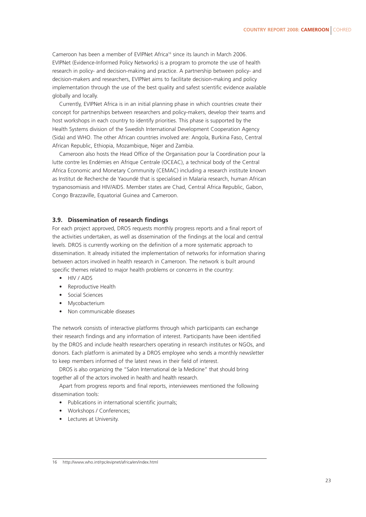Cameroon has been a member of EVIPNet Africa<sup>16</sup> since its launch in March 2006. EVIPNet (Evidence-Informed Policy Networks) is a program to promote the use of health research in policy- and decision-making and practice. A partnership between policy- and decision-makers and researchers, EVIPNet aims to facilitate decision-making and policy implementation through the use of the best quality and safest scientific evidence available globally and locally.

Currently, EVIPNet Africa is in an initial planning phase in which countries create their concept for partnerships between researchers and policy-makers, develop their teams and host workshops in each country to identify priorities. This phase is supported by the Health Systems division of the Swedish International Development Cooperation Agency (Sida) and WHO. The other African countries involved are: Angola, Burkina Faso, Central African Republic, Ethiopia, Mozambique, Niger and Zambia.

Cameroon also hosts the Head Office of the Organisation pour la Coordination pour la lutte contre les Endémies en Afrique Centrale (OCEAC), a technical body of the Central Africa Economic and Monetary Community (CEMAC) including a research institute known as Institut de Recherche de Yaoundé that is specialised in Malaria research, human African trypanosomiasis and HIV/AIDS. Member states are Chad, Central Africa Republic, Gabon, Congo Brazzaville, Equatorial Guinea and Cameroon.

#### **3.9. Dissemination of research findings**

For each project approved, DROS requests monthly progress reports and a final report of the activities undertaken, as well as dissemination of the findings at the local and central levels. DROS is currently working on the definition of a more systematic approach to dissemination. It already initiated the implementation of networks for information sharing between actors involved in health research in Cameroon. The network is built around specific themes related to major health problems or concerns in the country:

- HIV / AIDS
- Reproductive Health
- Social Sciences
- **Mycobacterium**
- Non communicable diseases

The network consists of interactive platforms through which participants can exchange their research findings and any information of interest. Participants have been identified by the DROS and include health researchers operating in research institutes or NGOs, and donors. Each platform is animated by a DROS employee who sends a monthly newsletter to keep members informed of the latest news in their field of interest.

DROS is also organizing the "Salon International de la Medicine" that should bring together all of the actors involved in health and health research.

Apart from progress reports and final reports, interviewees mentioned the following dissemination tools:

- Publications in international scientific journals;
- Workshops / Conferences;
- Lectures at University.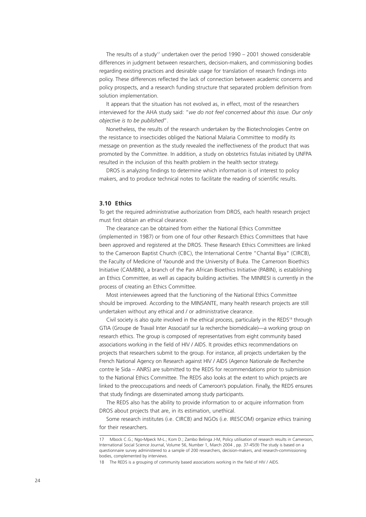The results of a study<sup>17</sup> undertaken over the period 1990 – 2001 showed considerable differences in judgment between researchers, decision-makers, and commissioning bodies regarding existing practices and desirable usage for translation of research findings into policy. These differences reflected the lack of connection between academic concerns and policy prospects, and a research funding structure that separated problem definition from solution implementation.

It appears that the situation has not evolved as, in effect, most of the researchers interviewed for the AHA study said: "*we do not feel concerned about this issue. Our only objective is to be published*".

Nonetheless, the results of the research undertaken by the Biotechnologies Centre on the resistance to insecticides obliged the National Malaria Committee to modify its message on prevention as the study revealed the ineffectiveness of the product that was promoted by the Committee. In addition, a study on obstetrics fistulas initiated by UNFPA resulted in the inclusion of this health problem in the health sector strategy.

DROS is analyzing findings to determine which information is of interest to policy makers, and to produce technical notes to facilitate the reading of scientific results.

#### **3.10 Ethics**

To get the required administrative authorization from DROS, each health research project must first obtain an ethical clearance.

The clearance can be obtained from either the National Ethics Committee (implemented in 1987) or from one of four other Research Ethics Committees that have been approved and registered at the DROS. These Research Ethics Committees are linked to the Cameroon Baptist Church (CBC), the International Centre "Chantal Biya" (CIRCB), the Faculty of Medicine of Yaoundé and the University of Buéa. The Cameroon Bioethics Initiative (CAMBIN), a branch of the Pan African Bioethics Initiative (PABIN), is establishing an Ethics Committee, as well as capacity building activities. The MINRESI is currently in the process of creating an Ethics Committee.

Most interviewees agreed that the functioning of the National Ethics Committee should be improved. According to the MINSANTE, many health research projects are still undertaken without any ethical and / or administrative clearance.

Civil society is also quite involved in the ethical process, particularly in the REDS<sup>18</sup> through GTIA (Groupe de Travail Inter Associatif sur la recherche biomédicale)—a working group on research ethics. The group is composed of representatives from eight community based associations working in the field of HIV / AIDS. It provides ethics recommendations on projects that researchers submit to the group. For instance, all projects undertaken by the French National Agency on Research against HIV / AIDS (Agence Nationale de Recherche contre le Sida – ANRS) are submitted to the REDS for recommendations prior to submission to the National Ethics Committee. The REDS also looks at the extent to which projects are linked to the preoccupations and needs of Cameroon's population. Finally, the REDS ensures that study findings are disseminated among study participants.

The REDS also has the ability to provide information to or acquire information from DROS about projects that are, in its estimation, unethical.

Some research institutes (i.e. CIRCB) and NGOs (i.e. IRESCOM) organize ethics training for their researchers.

<sup>17</sup> Mbock C.G.; Ngo-Mpeck M-L.; Kom D.; Zambo Belinga J-M, Policy utilisation of research results in Cameroon, International Social Science Journal, Volume 56, Number 1, March 2004 , pp. 37-45(9) The study is based on a questionnaire survey administered to a sample of 200 researchers, decision-makers, and research-commissioning bodies, complemented by interviews.

<sup>18</sup> The REDS is a grouping of community based associations working in the field of HIV / AIDS.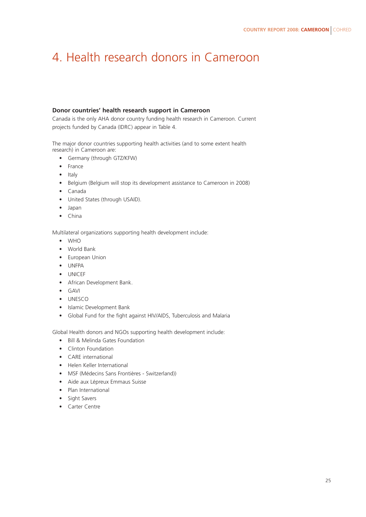### 4. Health research donors in Cameroon

#### **Donor countries' health research support in Cameroon**

Canada is the only AHA donor country funding health research in Cameroon. Current projects funded by Canada (IDRC) appear in Table 4.

The major donor countries supporting health activities (and to some extent health research) in Cameroon are:

- Germany (through GTZ/KFW)
- France
- Italy
- Belgium (Belgium will stop its development assistance to Cameroon in 2008)
- Canada
- United States (through USAID).
- Japan
- China

Multilateral organizations supporting health development include:

- WHO
- World Bank
- European Union
- UNFPA
- UNICEF
- African Development Bank.
- GAVI
- UNESCO
- Islamic Development Bank
- Global Fund for the fight against HIV/AIDS, Tuberculosis and Malaria

Global Health donors and NGOs supporting health development include:

- Bill & Melinda Gates Foundation
- Clinton Foundation
- CARE international
- Helen Keller International
- MSF (Médecins Sans Frontières Switzerland))
- Aide aux Lépreux Emmaus Suisse
- Plan International
- Sight Savers
- Carter Centre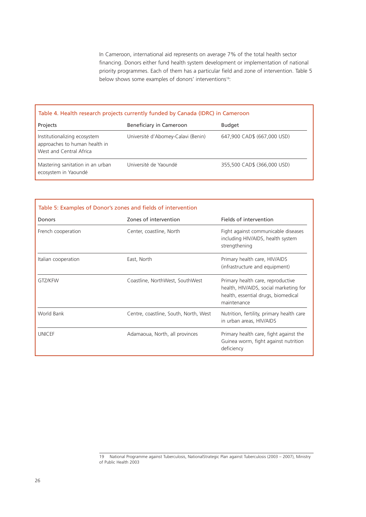In Cameroon, international aid represents on average 7% of the total health sector financing. Donors either fund health system development or implementation of national priority programmes. Each of them has a particular field and zone of intervention. Table 5 below shows some examples of donors' interventions<sup>19</sup>:

#### Table 4. Health research projects currently funded by Canada (IDRC) in Cameroon

| Projects                                                                                 | Beneficiary in Cameroon            | <b>Budget</b>               |
|------------------------------------------------------------------------------------------|------------------------------------|-----------------------------|
| Institutionalizing ecosystem<br>approaches to human health in<br>West and Central Africa | Université d'Abomey-Calavi (Benin) | 647,900 CAD\$ (667,000 USD) |
| Mastering sanitation in an urban<br>ecosystem in Yaoundé                                 | Université de Yaoundé              | 355,500 CAD\$ (366,000 USD) |

| Table 5: Examples of Donor's zones and fields of intervention<br>Donors | Zones of intervention                 | Fields of intervention                                                                                                            |
|-------------------------------------------------------------------------|---------------------------------------|-----------------------------------------------------------------------------------------------------------------------------------|
| French cooperation                                                      | Center, coastline, North              | Fight against communicable diseases<br>including HIV/AIDS, health system<br>strengthening                                         |
| Italian cooperation                                                     | East, North                           | Primary health care, HIV/AIDS<br>(infrastructure and equipment)                                                                   |
| GTZ/KFW                                                                 | Coastline, NorthWest, SouthWest       | Primary health care, reproductive<br>health, HIV/AIDS, social marketing for<br>health, essential drugs, biomedical<br>maintenance |
| World Bank                                                              | Centre, coastline, South, North, West | Nutrition, fertility, primary health care<br>in urban areas, HIV/AIDS                                                             |
| <b>UNICEF</b>                                                           | Adamaoua, North, all provinces        | Primary health care, fight against the<br>Guinea worm, fight against nutrition<br>deficiency                                      |

<sup>19</sup> National Programme against Tuberculosis, NationalStrategic Plan against Tuberculosis (2003 – 2007), Ministry of Public Health 2003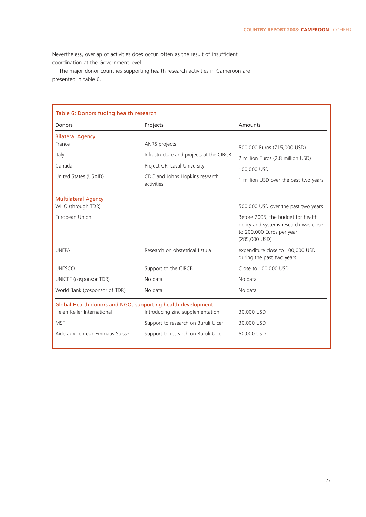Nevertheless, overlap of activities does occur, often as the result of insufficient coordination at the Government level.

The major donor countries supporting health research activities in Cameroon are presented in table 6.

| Table 6: Donors fuding health research                                                    |                                          |                                                                                                                             |  |
|-------------------------------------------------------------------------------------------|------------------------------------------|-----------------------------------------------------------------------------------------------------------------------------|--|
| Donors                                                                                    | Projects                                 | Amounts                                                                                                                     |  |
| <b>Bilateral Agency</b>                                                                   |                                          |                                                                                                                             |  |
| France                                                                                    | ANRS projects                            | 500,000 Euros (715,000 USD)                                                                                                 |  |
| Italy                                                                                     | Infrastructure and projects at the CIRCB | 2 million Euros (2,8 million USD)                                                                                           |  |
| Canada                                                                                    | Project CRI Laval University             | 100,000 USD                                                                                                                 |  |
| United States (USAID)<br>CDC and Johns Hopkins research<br>activities                     |                                          | 1 million USD over the past two years                                                                                       |  |
| <b>Multilateral Agency</b>                                                                |                                          |                                                                                                                             |  |
| WHO (through TDR)                                                                         |                                          | 500,000 USD over the past two years                                                                                         |  |
| European Union                                                                            |                                          | Before 2005, the budget for health<br>policy and systems research was close<br>to 200,000 Euros per year<br>$(285,000$ USD) |  |
| <b>UNFPA</b>                                                                              | Research on obstetrical fistula          | expenditure close to 100,000 USD<br>during the past two years                                                               |  |
| <b>UNESCO</b>                                                                             | Support to the CIRCB                     | Close to 100,000 USD                                                                                                        |  |
| UNICEF (cosponsor TDR)                                                                    | No data                                  | No data                                                                                                                     |  |
| World Bank (cosponsor of TDR)                                                             | No data                                  | No data                                                                                                                     |  |
| Global Health donors and NGOs supporting health development<br>Helen Keller International | Introducing zinc supplementation         | 30,000 USD                                                                                                                  |  |
| <b>MSF</b>                                                                                | Support to research on Buruli Ulcer      | 30,000 USD                                                                                                                  |  |
| Aide aux Lépreux Emmaus Suisse                                                            | Support to research on Buruli Ulcer      | 50,000 USD                                                                                                                  |  |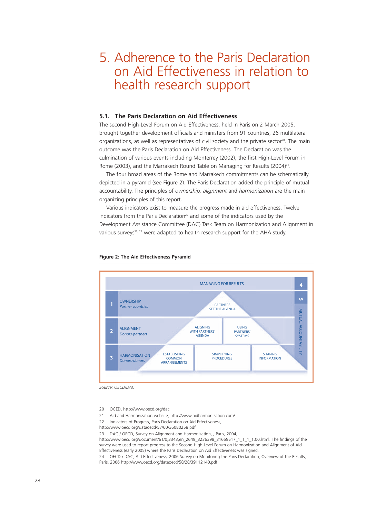### 5. Adherence to the Paris Declaration on Aid Effectiveness in relation to health research support

#### **5.1. The Paris Declaration on Aid Effectiveness**

The second High-Level Forum on Aid Effectiveness, held in Paris on 2 March 2005, brought together development officials and ministers from 91 countries, 26 multilateral organizations, as well as representatives of civil society and the private sector<sup>20</sup>. The main outcome was the Paris Declaration on Aid Effectiveness. The Declaration was the culmination of various events including Monterrey (2002), the first High-Level Forum in Rome (2003), and the Marrakech Round Table on Managing for Results (2004)<sup>21</sup>.

The four broad areas of the Rome and Marrakech commitments can be schematically depicted in a pyramid (see Figure 2). The Paris Declaration added the principle of mutual accountability. The principles of *ownership, alignment* and *harmonization* are the main organizing principles of this report.

Various indicators exist to measure the progress made in aid effectiveness. Twelve indicators from the Paris Declaration<sup>22</sup> and some of the indicators used by the Development Assistance Committee (DAC) Task Team on Harmonization and Alignment in various surveys<sup>23, 24</sup> were adapted to health research support for the AHA study.



#### **Figure 2: The Aid Effectiveness Pyramid**

*Source: OECD/DAC*

<sup>20</sup> OCED, http://www.oecd.org/dac

<sup>21</sup> Aid and Harmonization website, http://www.aidharmonization.com/

<sup>22</sup> Indicators of Progress, Paris Declaration on Aid Effectiveness,

http://www.oecd.org/dataoecd/57/60/36080258.pdf

<sup>23</sup> DAC / OECD, Survey on Alignment and Harmonization, , Paris, 2004,

http://www.oecd.org/document/61/0,3343,en\_2649\_3236398\_31659517\_1\_1\_1\_1,00.html. The findings of the survey were used to report progress to the Second High-Level Forum on Harmonization and Alignment of Aid Effectiveness (early 2005) where the Paris Declaration on Aid Effectiveness was signed.

<sup>24</sup> OECD / DAC, Aid Effectiveness, 2006 Survey on Monitoring the Paris Declaration, Overview of the Results, Paris, 2006 http://www.oecd.org/dataoecd/58/28/39112140.pdf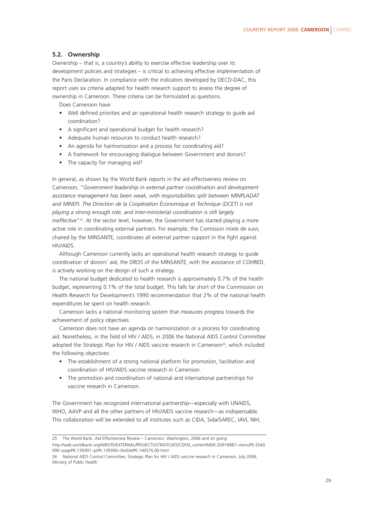#### **5.2. Ownership**

Ownership – that is, a country's ability to exercise effective leadership over its development policies and strategies – is critical to achieving effective implementation of the Paris Declaration. In compliance with the indicators developed by OECD-DAC, this report uses six criteria adapted for health research support to assess the degree of ownership in Cameroon. These criteria can be formulated as questions.

Does Cameroon have:

- Well defined priorities and an operational health research strategy to guide aid coordination?
- A significant and operational budget for health research?
- Adequate human resources to conduct health research?
- An agenda for harmonization and a process for coordinating aid?
- A framework for encouraging dialogue between Government and donors?
- The capacity for managing aid?

In general, as shown by the World Bank reports in the aid effectiveness review on Cameroon, "*Government leadership in external partner coordination and development assistance management has been weak, with responsibilities split between MINPLADAT and MINEFI. The Direction de la Coopération Économique et Technique (DCET) is not playing a strong enough role, and inter-ministerial coordination is still largely ineffective*"25. At the sector level, however, the Government has started playing a more active role in coordinating external partners. For example, the Comission mixte de suivi, chaired by the MINSANTE, coordinates all external partner support in the fight against HIV/AIDS.

Although Cameroon currently lacks an operational health research strategy to guide coordination of donors' aid, the DROS of the MINSANTE, with the assistance of COHRED, is actively working on the design of such a strategy.

The national budget dedicated to health research is approximately 0.7% of the health budget, representing 0.1% of the total budget. This falls far short of the Commission on Health Research for Development's 1990 recommendation that 2% of the national health expenditures be spent on health research.

Cameroon lacks a national monitoring system that measures progress towards the achievement of policy objectives.

Cameroon does not have an agenda on harmonization or a process for coordinating aid. Nonetheless, in the field of HIV / AIDS, in 2006 the National AIDS Control Committee adopted the Strategic Plan for HIV / AIDS vaccine research in Cameroon<sup>26</sup>, which included the following objectives:

- The establishment of a strong national platform for promotion, facilitation and coordination of HIV/AIDS vaccine research in Cameroon.
- The promotion and coordination of national and international partnerships for vaccine research in Cameroon.

The Government has recognized international partnership—especially with UNAIDS, WHO, AAVP and all the other partners of HIV/AIDS vaccine research—as indispensable. This collaboration will be extended to all institutes such as CIDA, Sida/SAREC, IAVI, NIH,

<sup>25</sup> The World Bank, Aid Effectiveness Review – Cameroon, Washington, 2006 and on going

http://web.worldbank.org/WBSITE/EXTERNAL/PROJECTS/STRATEGIES/CDF/0,,contentMDK:20919987~menuPK:2540 090~pagePK:139301~piPK:139306~theSitePK:140576,00.html

<sup>26</sup> National AIDS Control Committee, Strategic Plan for HIV / AIDS vaccine research in Cameroon, July 2006, Ministry of Public Health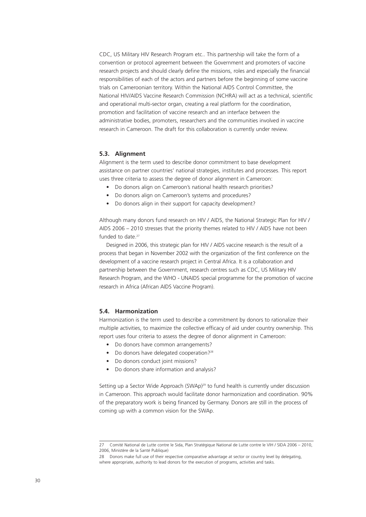CDC, US Military HIV Research Program etc.. This partnership will take the form of a convention or protocol agreement between the Government and promoters of vaccine research projects and should clearly define the missions, roles and especially the financial responsibilities of each of the actors and partners before the beginning of some vaccine trials on Cameroonian territory. Within the National AIDS Control Committee, the National HIV/AIDS Vaccine Research Commission (NCHRA) will act as a technical, scientific and operational multi-sector organ, creating a real platform for the coordination, promotion and facilitation of vaccine research and an interface between the administrative bodies, promoters, researchers and the communities involved in vaccine research in Cameroon. The draft for this collaboration is currently under review.

#### **5.3. Alignment**

Alignment is the term used to describe donor commitment to base development assistance on partner countries' national strategies, institutes and processes. This report uses three criteria to assess the degree of donor alignment in Cameroon:

- Do donors align on Cameroon's national health research priorities?
- Do donors align on Cameroon's systems and procedures?
- Do donors align in their support for capacity development?

Although many donors fund research on HIV / AIDS, the National Strategic Plan for HIV / AIDS 2006 – 2010 stresses that the priority themes related to HIV / AIDS have not been funded to date.<sup>27</sup>

Designed in 2006, this strategic plan for HIV / AIDS vaccine research is the result of a process that began in November 2002 with the organization of the first conference on the development of a vaccine research project in Central Africa. It is a collaboration and partnership between the Government, research centres such as CDC, US Military HIV Research Program, and the WHO - UNAIDS special programme for the promotion of vaccine research in Africa (African AIDS Vaccine Program).

#### **5.4. Harmonization**

Harmonization is the term used to describe a commitment by donors to rationalize their multiple activities, to maximize the collective efficacy of aid under country ownership. This report uses four criteria to assess the degree of donor alignment in Cameroon:

- Do donors have common arrangements?
- Do donors have delegated cooperation?<sup>28</sup>
- Do donors conduct joint missions?
- Do donors share information and analysis?

Setting up a Sector Wide Approach (SWAp)<sup>29</sup> to fund health is currently under discussion in Cameroon. This approach would facilitate donor harmonization and coordination. 90% of the preparatory work is being financed by Germany. Donors are still in the process of coming up with a common vision for the SWAp.

<sup>27</sup> Comité National de Lutte contre le Sida, Plan Stratégique National de Lutte contre le VIH / SIDA 2006 – 2010, 2006, Ministère de la Santé Publique)

<sup>28</sup> Donors make full use of their respective comparative advantage at sector or country level by delegating, where appropriate, authority to lead donors for the execution of programs, activities and tasks.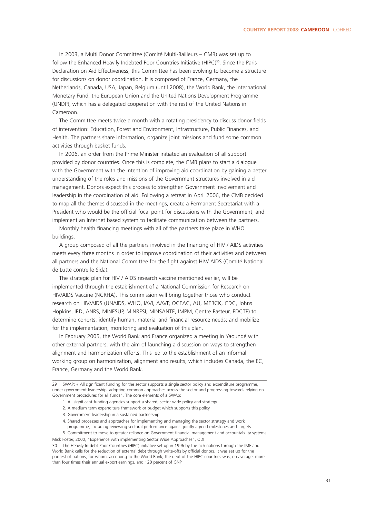In 2003, a Multi Donor Committee (Comité Multi-Bailleurs – CMB) was set up to follow the Enhanced Heavily Indebted Poor Countries Initiative (HIPC)<sup>30</sup>. Since the Paris Declaration on Aid Effectiveness, this Committee has been evolving to become a structure for discussions on donor coordination. It is composed of France, Germany, the Netherlands, Canada, USA, Japan, Belgium (until 2008), the World Bank, the International Monetary Fund, the European Union and the United Nations Development Programme (UNDP), which has a delegated cooperation with the rest of the United Nations in Cameroon.

The Committee meets twice a month with a rotating presidency to discuss donor fields of intervention: Education, Forest and Environment, Infrastructure, Public Finances, and Health. The partners share information, organize joint missions and fund some common activities through basket funds.

In 2006, an order from the Prime Minister initiated an evaluation of all support provided by donor countries. Once this is complete, the CMB plans to start a dialogue with the Government with the intention of improving aid coordination by gaining a better understanding of the roles and missions of the Government structures involved in aid management. Donors expect this process to strengthen Government involvement and leadership in the coordination of aid. Following a retreat in April 2006, the CMB decided to map all the themes discussed in the meetings, create a Permanent Secretariat with a President who would be the official focal point for discussions with the Government, and implement an Internet based system to facilitate communication between the partners.

Monthly health financing meetings with all of the partners take place in WHO buildings.

A group composed of all the partners involved in the financing of HIV / AIDS activities meets every three months in order to improve coordination of their activities and between all partners and the National Committee for the fight against HIV/ AIDS (Comité National de Lutte contre le Sida).

The strategic plan for HIV / AIDS research vaccine mentioned earlier, will be implemented through the establishment of a National Commission for Research on HIV/AIDS Vaccine (NCRHA). This commission will bring together those who conduct research on HIV/AIDS (UNAIDS, WHO, IAVI, AAVP, OCEAC, AU, MERCK, CDC, Johns Hopkins, IRD, ANRS, MINESUP, MINRESI, MINSANTE, IMPM, Centre Pasteur, EDCTP) to determine cohorts; identify human, material and financial resource needs; and mobilize for the implementation, monitoring and evaluation of this plan.

In February 2005, the World Bank and France organized a meeting in Yaoundé with other external partners, with the aim of launching a discussion on ways to strengthen alignment and harmonization efforts. This led to the establishment of an informal working group on harmonization, alignment and results, which includes Canada, the EC, France, Germany and the World Bank.

- 1. All significant funding agencies support a shared, sector wide policy and strategy
- 2. A medium term expenditure framework or budget which supports this policy
- 3. Government leadership in a sustained partnership
- 4. Shared processes and approaches for implementing and managing the sector strategy and work programme, including reviewing sectoral performance against jointly agreed milestones and targets
- 5. Commitment to move to greater reliance on Government financial management and accountability systems Mick Foster, 2000, "Experience with implementing Sector Wide Approaches", ODI

30 The Heavily In-debt Poor Countries (HIPC) initiative set up in 1996 by the rich nations through the IMF and World Bank calls for the reduction of external debt through write-offs by official donors. It was set up for the poorest of nations, for whom, according to the World Bank, the debt of the HIPC countries was, on average, more than four times their annual export earnings, and 120 percent of GNP

<sup>29</sup> SWAP: « All significant funding for the sector supports a single sector policy and expenditure programme, under government leadership, adopting common approaches across the sector and progressing towards relying on Government procedures for all funds". The core elements of a SWAp: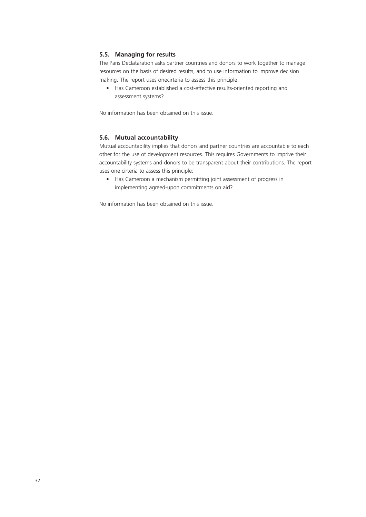#### **5.5. Managing for results**

The Paris Declataration asks partner countries and donors to work together to manage resources on the basis of desired results, and to use information to improve decision making. The report uses onecirteria to assess this principle:

• Has Cameroon established a cost-effective results-oriented reporting and assessment systems?

No information has been obtained on this issue.

#### **5.6. Mutual accountability**

Mutual accountability implies that donors and partner countries are accountable to each other for the use of development resources. This requires Governments to imprive their accountability systems and donors to be transparent about their contributions. The report uses one cirteria to assess this principle:

• Has Cameroon a mechanism permitting joint assessment of progress in implementing agreed-upon commitments on aid?

No information has been obtained on this issue.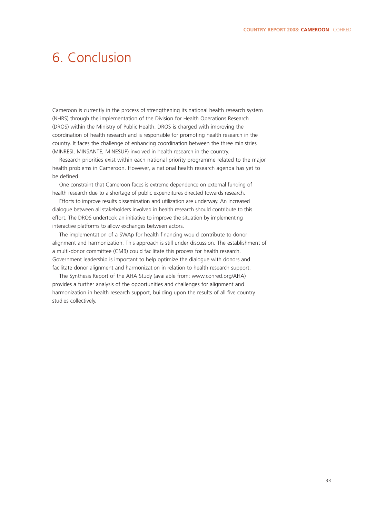### 6. Conclusion

Cameroon is currently in the process of strengthening its national health research system (NHRS) through the implementation of the Division for Health Operations Research (DROS) within the Ministry of Public Health. DROS is charged with improving the coordination of health research and is responsible for promoting health research in the country. It faces the challenge of enhancing coordination between the three ministries (MINRESI, MINSANTE, MINESUP) involved in health research in the country.

Research priorities exist within each national priority programme related to the major health problems in Cameroon. However, a national health research agenda has yet to be defined.

One constraint that Cameroon faces is extreme dependence on external funding of health research due to a shortage of public expenditures directed towards research.

Efforts to improve results dissemination and utilization are underway. An increased dialogue between all stakeholders involved in health research should contribute to this effort. The DROS undertook an initiative to improve the situation by implementing interactive platforms to allow exchanges between actors.

The implementation of a SWAp for health financing would contribute to donor alignment and harmonization. This approach is still under discussion. The establishment of a multi-donor committee (CMB) could facilitate this process for health research. Government leadership is important to help optimize the dialogue with donors and facilitate donor alignment and harmonization in relation to health research support.

The Synthesis Report of the AHA Study (available from: www.cohred.org/AHA) provides a further analysis of the opportunities and challenges for alignment and harmonization in health research support, building upon the results of all five country studies collectively.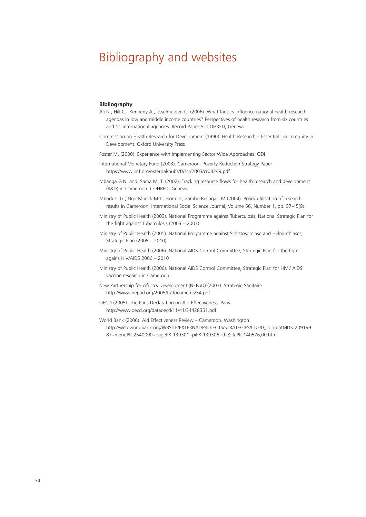### Bibliography and websites

#### **Bibliography**

- Ali N., Hill C., Kennedy A., IJsselmuiden C. (2006). What factors influence national health research agendas in low and middle income countries? Perspectives of health research from six countries and 11 international agencies. Record Paper 5, COHRED, Geneva
- Commission on Health Research for Development (1990). Health Research Essential link to equity in Development. Oxford University Press
- Foster M. (2000). Experience with implementing Sector Wide Approaches. ODI
- International Monetary Fund (2003). Cameroon: Poverty Reduction Strategy Paper https://www.imf.org/external/pubs/ft/scr/2003/cr03249.pdf
- Mbanga G.N. and. Sama M. T. (2002). Tracking resource flows for health research and development (R&D) in Cameroon. COHRED, Geneva
- Mbock C.G.; Ngo-Mpeck M-L.; Kom D.; Zambo Belinga J-M (2004). Policy utilisation of research results in Cameroon, International Social Science Journal, Volume 56, Number 1, pp. 37-45(9)
- Ministry of Public Health (2003). National Programme against Tuberculosis, National Strategic Plan for the fight against Tuberculosis (2003 – 2007)
- Ministry of Public Health (2005). National Programme against Schistosomiase and Helminthiases, Strategic Plan (2005 – 2010)
- Ministry of Public Health (2006). National AIDS Control Committee, Strategic Plan for the fight agains HIV/AIDS 2006 – 2010
- Ministry of Public Health (2006). National AIDS Control Committee, Strategic Plan for HIV / AIDS vaccine research in Cameroon
- New Partnership for Africa's Development (NEPAD) (2003). Stratégie Sanitaire http://www.nepad.org/2005/fr/documents/54.pdf
- OECD (2005). The Paris Declaration on Aid Effectiveness. Paris http://www.oecd.org/dataoecd/11/41/34428351.pdf

World Bank (2006). Aid Effectiveness Review – Cameroon. Washington http://web.worldbank.org/WBSITE/EXTERNAL/PROJECTS/STRATEGIES/CDF/0,,contentMDK:209199 87~menuPK:2540090~pagePK:139301~piPK:139306~theSitePK:140576,00.html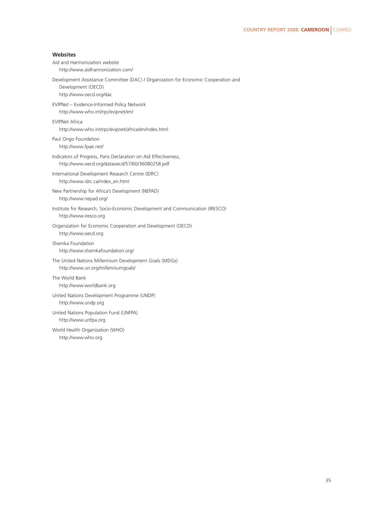| Websites                                                                                                                            |
|-------------------------------------------------------------------------------------------------------------------------------------|
| Aid and Harmonization website<br>http://www.aidharmonization.com/                                                                   |
| Development Assistance Committee (DAC) / Organization for Economic Cooperation and<br>Development (OECD)<br>http://www.oecd.org/dac |
| EVIPNet - Evidence-Informed Policy Network<br>http://www.who.int/rpc/evipnet/en/                                                    |
| <b>EVIPNet Africa</b><br>http://www.who.int/rpc/evipnet/africa/en/index.html                                                        |
| Paul Ongo Foundation<br>http://www.fpae.net/                                                                                        |
| Indicators of Progress, Paris Declaration on Aid Effectiveness,<br>http://www.oecd.org/dataoecd/57/60/36080258.pdf                  |
| International Development Research Centre (IDRC)<br>http://www.idrc.ca/index_en.html                                                |
| New Partnership for Africa's Development (NEPAD)<br>http://www.nepad.org/                                                           |
| Institute for Research, Socio-Economic Development and Communication (IRESCO)<br>http://www.iresco.org                              |
| Organization for Economic Cooperation and Development (OECD)<br>http://www.oecd.org                                                 |
| Shemka Foundation<br>http://www.shemkafoundation.org/                                                                               |
| The United Nations Millennium Development Goals (MDGs)<br>http://www.un.org/millenniumgoals/                                        |
| The World Bank<br>http://www.worldbank.org                                                                                          |
| United Nations Development Programme (UNDP)<br>http://www.undp.org                                                                  |
| United Nations Population Fund (UNFPA)<br>http://www.unfpa.org                                                                      |
| World Health Organization (WHO)<br>http://www.who.org                                                                               |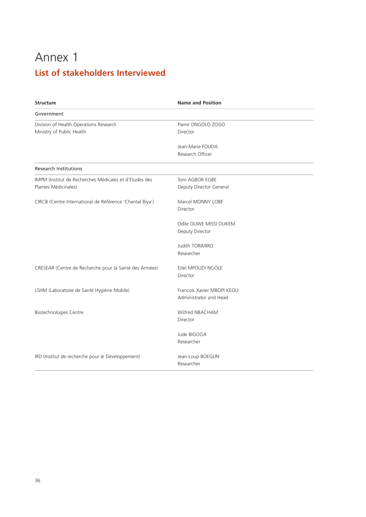### Annex 1 **List of stakeholders Interviewed**

| <b>Structure</b>                                                               | <b>Name and Position</b>                             |
|--------------------------------------------------------------------------------|------------------------------------------------------|
| Government                                                                     |                                                      |
| Division of Health Operations Research<br>Ministry of Public Health            | Pierre ONGOLO ZOGO<br>Director                       |
|                                                                                | Jean-Marie FOUDA<br>Research Officer                 |
| <b>Research Institutions</b>                                                   |                                                      |
| IMPM (Institut de Recherches Médicales et d'Etudes des<br>Plantes Médicinales) | Tom AGBOR EGBE<br>Deputy Director General            |
| CIRCB (Centre International de Référence 'Chantal Biya')                       | Marcel MONNY LOBE<br>Director                        |
|                                                                                | Odile OUWE MISSI OUKEM<br>Deputy Director            |
|                                                                                | Judith TORIMIRO<br>Researcher                        |
| CRESEAR (Centre de Recherche pour la Santé des Armées)                         | Eitel MPOUDI NGOLE<br>Director                       |
| LSHM (Laboratoire de Santé Hygiène Mobile)                                     | Francois Xavier MBOPI KEOU<br>Administrator and Head |
| <b>Biotechnologies Centre</b>                                                  | Wilfred NBACHAM<br>Director                          |
|                                                                                | Jude BIGOGA<br>Researcher                            |
| IRD (Institut de recherche pour le Développement)                              | Jean-Loup BOEGLIN<br>Researcher                      |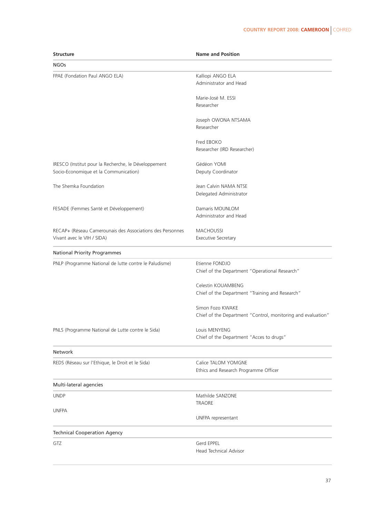| <b>Structure</b>                                                                              | <b>Name and Position</b>                                     |  |  |
|-----------------------------------------------------------------------------------------------|--------------------------------------------------------------|--|--|
| <b>NGOs</b>                                                                                   |                                                              |  |  |
| FPAE (Fondation Paul ANGO ELA)                                                                | Kalliopi ANGO ELA<br>Administrator and Head                  |  |  |
|                                                                                               | Marie-José M. ESSI<br>Researcher                             |  |  |
|                                                                                               |                                                              |  |  |
|                                                                                               | Joseph OWONA NTSAMA<br>Researcher                            |  |  |
|                                                                                               | Fred EBOKO<br>Researcher (IRD Researcher)                    |  |  |
|                                                                                               | Gédéon YOMI                                                  |  |  |
| IRESCO (Institut pour la Recherche, le Développement<br>Socio-Economique et la Communication) | Deputy Coordinator                                           |  |  |
| The Shemka Foundation                                                                         | Jean Calvin NAMA NTSE                                        |  |  |
|                                                                                               | Delegated Administrator                                      |  |  |
| FESADE (Femmes Santé et Développement)                                                        | Damaris MOUNLOM                                              |  |  |
|                                                                                               | Administrator and Head                                       |  |  |
| RECAP+ (Réseau Camerounais des Associations des Personnes                                     | <b>MACHOUSSI</b>                                             |  |  |
| Vivant avec le VIH / SIDA)                                                                    | Executive Secretary                                          |  |  |
| <b>National Priority Programmes</b>                                                           |                                                              |  |  |
| PNLP (Programme National de lutte contre le Paludisme)                                        | Etienne FONDJO                                               |  |  |
|                                                                                               | Chief of the Department "Operational Research"               |  |  |
|                                                                                               | Celestin KOUAMBENG                                           |  |  |
|                                                                                               | Chief of the Department "Training and Research"              |  |  |
|                                                                                               | Simon Fozo KWAKE                                             |  |  |
|                                                                                               | Chief of the Department "Control, monitoring and evaluation" |  |  |
| PNLS (Programme National de Lutte contre le Sida)                                             | Louis MENYENG                                                |  |  |
|                                                                                               | Chief of the Department "Acces to drugs"                     |  |  |
| Network                                                                                       |                                                              |  |  |
| REDS (Réseau sur l'Ethique, le Droit et le Sida)                                              | Calice TALOM YOMGNE                                          |  |  |
|                                                                                               | Ethics and Research Programme Officer                        |  |  |
| Multi-lateral agencies                                                                        |                                                              |  |  |
| <b>UNDP</b>                                                                                   | Mathilde SANZONE<br><b>TRAORE</b>                            |  |  |
| <b>UNFPA</b>                                                                                  |                                                              |  |  |
|                                                                                               | UNFPA representant                                           |  |  |
| <b>Technical Cooperation Agency</b>                                                           |                                                              |  |  |
| GTZ                                                                                           | Gerd EPPEL                                                   |  |  |
|                                                                                               | Head Technical Advisor                                       |  |  |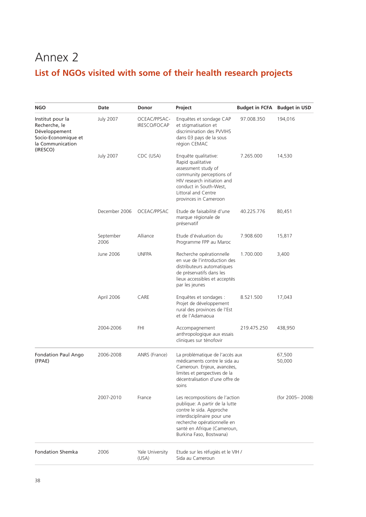### Annex 2 **List of NGOs visited with some of their health research projects**

| NGO                                                                                                       | Date              | Donor                        | Project                                                                                                                                                                                                              | <b>Budget in FCFA</b> Budget in USD |                  |
|-----------------------------------------------------------------------------------------------------------|-------------------|------------------------------|----------------------------------------------------------------------------------------------------------------------------------------------------------------------------------------------------------------------|-------------------------------------|------------------|
| Institut pour la<br>Recherche, le<br>Développement<br>Socio-Economique et<br>la Communication<br>(IRESCO) | <b>July 2007</b>  | OCEAC/PPSAC-<br>IRESCO/FOCAP | Enquêtes et sondage CAP<br>et stigmatisation et<br>discrimination des PVVIHS<br>dans 03 pays de la sous<br>région CEMAC                                                                                              | 97.008.350                          | 194,016          |
|                                                                                                           | <b>July 2007</b>  | CDC (USA)                    | Enquête qualitative:<br>Rapid qualitative<br>assessment study of<br>community perceptions of<br>HIV research initiation and<br>conduct in South-West,<br>Littoral and Centre<br>provinces in Cameroon                | 7.265.000                           | 14,530           |
|                                                                                                           | December 2006     | OCEAC/PPSAC                  | Etude de faisabilité d'une<br>marque régionale de<br>préservatif                                                                                                                                                     | 40.225.776                          | 80,451           |
|                                                                                                           | September<br>2006 | Alliance                     | Etude d'évaluation du<br>Programme FPP au Maroc                                                                                                                                                                      | 7.908.600                           | 15,817           |
|                                                                                                           | June 2006         | <b>UNFPA</b>                 | Recherche opérationnelle<br>en vue de l'introduction des<br>distributeurs automatiques<br>de préservatifs dans les<br>lieux accessibles et acceptés<br>par les jeunes                                                | 1.700.000                           | 3,400            |
|                                                                                                           | April 2006        | CARE                         | Enquêtes et sondages :<br>Projet de développement<br>rural des provinces de l'Est<br>et de l'Adamaoua                                                                                                                | 8.521.500                           | 17,043           |
|                                                                                                           | 2004-2006         | <b>FHI</b>                   | Accompagnement<br>anthropologique aux essais<br>cliniques sur ténofovir                                                                                                                                              | 219.475.250                         | 438,950          |
| <b>Fondation Paul Ango</b><br>(FPAE)                                                                      | 2006-2008         | ANRS (France)                | La problématique de l'accès aux<br>médicaments contre le sida au<br>Cameroun. Enjeux, avancées,<br>limites et perspectives de la<br>décentralisation d'une offre de<br>soins                                         |                                     | 67,500<br>50,000 |
|                                                                                                           | 2007-2010         | France                       | Les recompositions de l'action<br>publique: A partir de la lutte<br>contre le sida. Approche<br>interdisciplinaire pour une<br>recherche opérationnelle en<br>santé en Afrique (Cameroun,<br>Burkina Faso, Bostwana) |                                     | (for 2005-2008)  |
| <b>Fondation Shemka</b>                                                                                   | 2006              | Yale University<br>(USA)     | Etude sur les réfugiés et le VIH /<br>Sida au Cameroun                                                                                                                                                               |                                     |                  |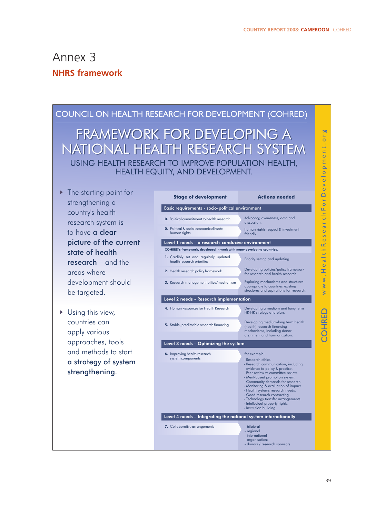bo  $\overline{\circ}$ ht  $\omega$ **P**<sub>m</sub>  $\overline{\circ}$ 

### Annex 3 **NHRS framework**

### COUNCIL ON HEALTH RESEARCH FOR DEVELOPMENT (COHRED)

USING HEALTH RESEARCH TO IMPROVE POPULATION HEALTH, HEALTH EQUITY, AND DEVELOPMENT. FRAMEWORK FOR DEVELOPING A FRAMEWORK FOR DEVELOPING A NATIONAL HEALTH RESEARCH SYSTEM NATIONAL HEALTH RESEARCH SYSTEM

- ▶ The starting point for strengthening a country's health research system is to have a clear picture of the current state of health research – and the areas where development should be targeted.
- Using this view, countries can apply various approaches, tools and methods to start a strategy of system strengthening.